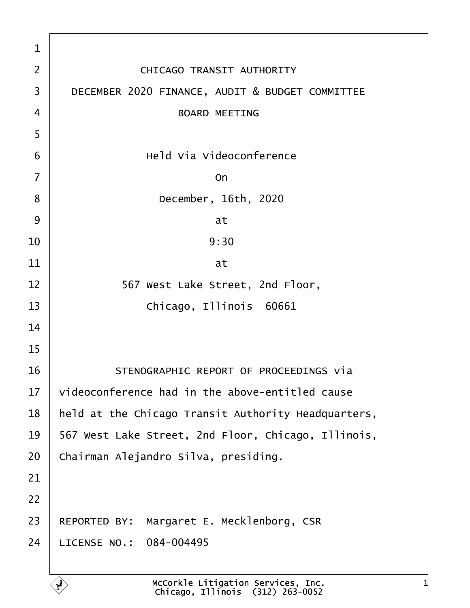| 1              |                                                     |
|----------------|-----------------------------------------------------|
| $\overline{2}$ | <b>CHICAGO TRANSIT AUTHORITY</b>                    |
| 3              | DECEMBER 2020 FINANCE, AUDIT & BUDGET COMMITTEE     |
| 4              | <b>BOARD MEETING</b>                                |
| 5              |                                                     |
| 6              | <b>Held Via Videoconference</b>                     |
| $\overline{7}$ | On                                                  |
| 8              | December, 16th, 2020                                |
| 9              | at                                                  |
| 10             | 9:30                                                |
| 11             | at                                                  |
| 12             | 567 West Lake Street, 2nd Floor,                    |
| 13             | Chicago, Illinois 60661                             |
| 14             |                                                     |
| 15             |                                                     |
| 16             | STENOGRAPHIC REPORT OF PROCEEDINGS via              |
| 17             | videoconference had in the above-entitled cause     |
| 18             | held at the Chicago Transit Authority Headquarters, |
| 19             | 567 West Lake Street, 2nd Floor, Chicago, Illinois, |
| 20             | Chairman Alejandro Silva, presiding.                |
| 21             |                                                     |
| 22             |                                                     |
| 23             | REPORTED BY: Margaret E. Mecklenborg, CSR           |
| 24             | LICENSE NO.: 084-004495                             |
|                |                                                     |

 $\Gamma$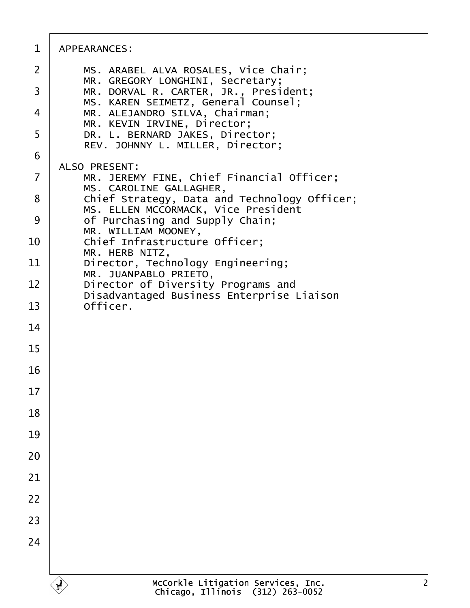| 1  | APPEARANCES:                                                                        |
|----|-------------------------------------------------------------------------------------|
| 2  | MS. ARABEL ALVA ROSALES, Vice Chair;<br>MR. GREGORY LONGHINI, Secretary;            |
| 3  | MR. DORVAL R. CARTER, JR., President;<br>MS. KAREN SEIMETZ, General Counsel;        |
| 4  | MR. ALEJANDRO SILVA, Chairman;<br>MR. KEVIN IRVINE, Director;                       |
| 5  | DR. L. BERNARD JAKES, Director;<br>REV. JOHNNY L. MILLER, Director;                 |
| 6  | <b>ALSO PRESENT:</b>                                                                |
| 7  | MR. JEREMY FINE, Chief Financial Officer;<br>MS. CAROLINE GALLAGHER,                |
| 8  | Chief Strategy, Data and Technology Officer;<br>MS. ELLEN MCCORMACK, Vice President |
| 9  | of Purchasing and Supply Chain;<br>MR. WILLIAM MOONEY,                              |
| 10 | Chief Infrastructure Officer;<br>MR. HERB NITZ,                                     |
| 11 | Director, Technology Engineering;<br>MR. JUANPABLO PRIETO,                          |
| 12 | Director of Diversity Programs and<br>Disadvantaged Business Enterprise Liaison     |
| 13 | Officer.                                                                            |
| 14 |                                                                                     |
| 15 |                                                                                     |
| 16 |                                                                                     |
| 17 |                                                                                     |
| 18 |                                                                                     |
| 19 |                                                                                     |
| 20 |                                                                                     |
| 21 |                                                                                     |
| 22 |                                                                                     |
| 23 |                                                                                     |
| 24 |                                                                                     |
|    |                                                                                     |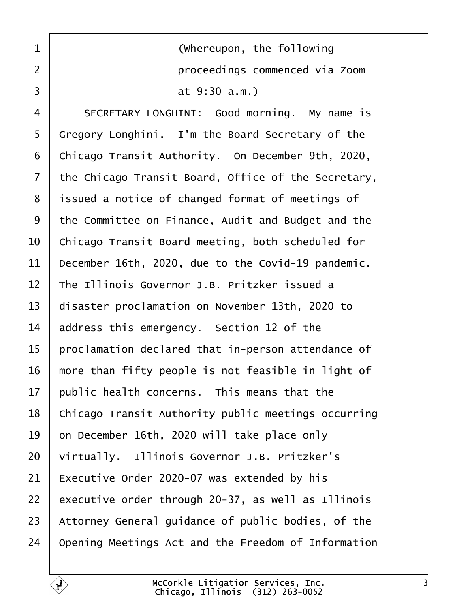<span id="page-2-0"></span>

| $\mathbf 1$ | (Whereupon, the following                           |
|-------------|-----------------------------------------------------|
| 2           | proceedings commenced via Zoom                      |
| 3           | at 9:30 a.m.)                                       |
| 4           | SECRETARY LONGHINI: Good morning. My name is        |
| 5           | Gregory Longhini. I'm the Board Secretary of the    |
| 6           | Chicago Transit Authority. On December 9th, 2020,   |
| 7           | the Chicago Transit Board, Office of the Secretary, |
| 8           | issued a notice of changed format of meetings of    |
| 9           | the Committee on Finance, Audit and Budget and the  |
| 10          | Chicago Transit Board meeting, both scheduled for   |
| 11          | December 16th, 2020, due to the Covid-19 pandemic.  |
| 12          | The Illinois Governor J.B. Pritzker issued a        |
| 13          | disaster proclamation on November 13th, 2020 to     |
| 14          | address this emergency. Section 12 of the           |
| 15          | proclamation declared that in-person attendance of  |
| 16          | more than fifty people is not feasible in light of  |
| 17          | public health concerns. This means that the         |
| 18          | Chicago Transit Authority public meetings occurring |
| 19          | on December 16th, 2020 will take place only         |
| 20          | virtually. Illinois Governor J.B. Pritzker's        |
| 21          | Executive Order 2020-07 was extended by his         |
| 22          | executive order through 20-37, as well as Illinois  |
| 23          | Attorney General guidance of public bodies, of the  |
| 24          | Opening Meetings Act and the Freedom of Information |
|             |                                                     |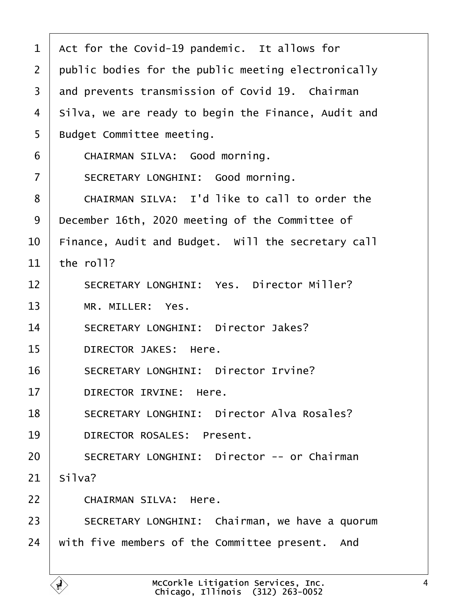<span id="page-3-0"></span>

| 1              | Act for the Covid-19 pandemic. It allows for        |
|----------------|-----------------------------------------------------|
| $\overline{2}$ | public bodies for the public meeting electronically |
| 3              | and prevents transmission of Covid 19. Chairman     |
| 4              | Silva, we are ready to begin the Finance, Audit and |
| 5              | <b>Budget Committee meeting.</b>                    |
| 6              | CHAIRMAN SILVA: Good morning.                       |
| $\overline{7}$ | <b>SECRETARY LONGHINI: Good morning.</b>            |
| 8              | CHAIRMAN SILVA: I'd like to call to order the       |
| 9              | December 16th, 2020 meeting of the Committee of     |
| 10             | Finance, Audit and Budget. Will the secretary call  |
| 11             | the roll?                                           |
| 12             | <b>SECRETARY LONGHINI: Yes. Director Miller?</b>    |
| 13             | MR. MILLER: Yes.                                    |
| 14             | <b>SECRETARY LONGHINI: Director Jakes?</b>          |
| 15             | <b>DIRECTOR JAKES: Here.</b>                        |
| 16             | <b>SECRETARY LONGHINI: Director Irvine?</b>         |
| 17             | DIRECTOR IRVINE: Here.                              |
| 18             | <b>SECRETARY LONGHINI: Director Alva Rosales?</b>   |
| 19             | <b>DIRECTOR ROSALES: Present.</b>                   |
| 20             | <b>SECRETARY LONGHINI: Director -- or Chairman</b>  |
| 21             | Silva?                                              |
| 22             | <b>CHAIRMAN SILVA: Here.</b>                        |
| 23             | SECRETARY LONGHINI: Chairman, we have a quorum      |
| 24             | with five members of the Committee present. And     |
|                |                                                     |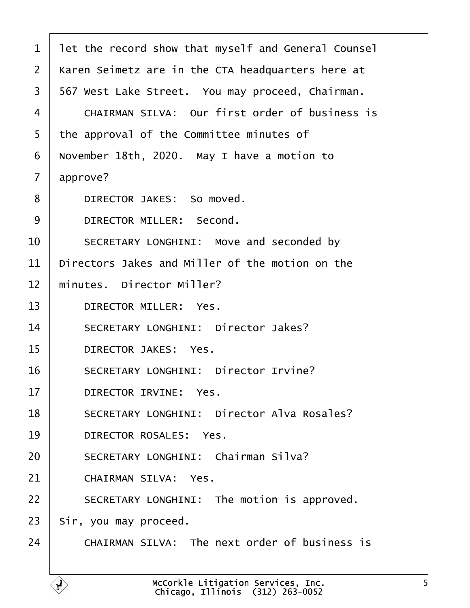<span id="page-4-0"></span>

| 1              | let the record show that myself and General Counsel   |
|----------------|-------------------------------------------------------|
| $\overline{2}$ | Karen Seimetz are in the CTA headquarters here at     |
| 3              | 567 West Lake Street. You may proceed, Chairman.      |
| 4              | <b>CHAIRMAN SILVA: Our first order of business is</b> |
| 5              | the approval of the Committee minutes of              |
| 6              | November 18th, 2020. May I have a motion to           |
| 7              | approve?                                              |
| 8              | DIRECTOR JAKES: So moved.                             |
| 9              | DIRECTOR MILLER: Second.                              |
| 10             | SECRETARY LONGHINI: Move and seconded by              |
| 11             | Directors Jakes and Miller of the motion on the       |
| 12             | minutes. Director Miller?                             |
| 13             | <b>DIRECTOR MILLER: Yes.</b>                          |
| 14             | <b>SECRETARY LONGHINI: Director Jakes?</b>            |
| 15             | DIRECTOR JAKES: Yes.                                  |
| 16             | <b>SECRETARY LONGHINI: Director Irvine?</b>           |
| 17             | DIRECTOR IRVINE: Yes.                                 |
| 18             | <b>SECRETARY LONGHINI: Director Alva Rosales?</b>     |
| 19             | DIRECTOR ROSALES: Yes.                                |
| 20             | <b>SECRETARY LONGHINI: Chairman Silva?</b>            |
| 21             | <b>CHAIRMAN SILVA: Yes.</b>                           |
| 22             | SECRETARY LONGHINI: The motion is approved.           |
| 23             | Sir, you may proceed.                                 |
| 24             | CHAIRMAN SILVA: The next order of business is         |
|                |                                                       |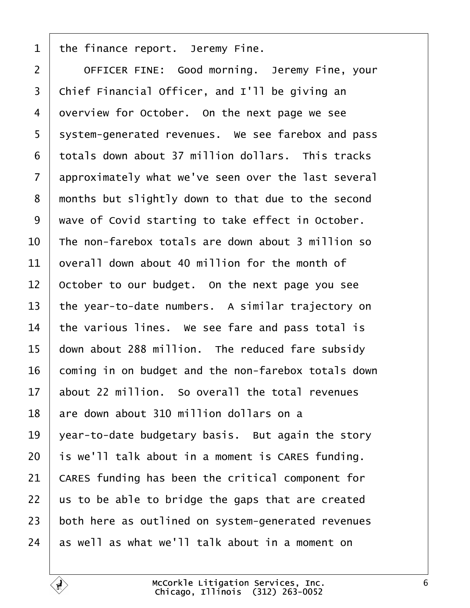<span id="page-5-0"></span>

| 1              | the finance report. Jeremy Fine.                    |
|----------------|-----------------------------------------------------|
| $\overline{2}$ | OFFICER FINE: Good morning. Jeremy Fine, your       |
| 3              | Chief Financial Officer, and I'll be giving an      |
| 4              | overview for October. On the next page we see       |
| 5              | system-generated revenues. We see farebox and pass  |
| 6              | totals down about 37 million dollars. This tracks   |
| $\overline{7}$ | approximately what we've seen over the last several |
| 8              | months but slightly down to that due to the second  |
| 9              | wave of Covid starting to take effect in October.   |
| 10             | The non-farebox totals are down about 3 million so  |
| 11             | overall down about 40 million for the month of      |
| 12             | October to our budget. On the next page you see     |
| 13             | the year-to-date numbers. A similar trajectory on   |
| 14             | the various lines. We see fare and pass total is    |
| 15             | down about 288 million. The reduced fare subsidy    |
| 16             | coming in on budget and the non-farebox totals down |
| 17             | about 22 million. So overall the total revenues     |
| 18             | are down about 310 million dollars on a             |
| 19             | year-to-date budgetary basis. But again the story   |
| 20             | is we'll talk about in a moment is CARES funding.   |
| 21             | CARES funding has been the critical component for   |
| 22             | us to be able to bridge the gaps that are created   |
| 23             | both here as outlined on system-generated revenues  |
| 24             | as well as what we'll talk about in a moment on     |
|                |                                                     |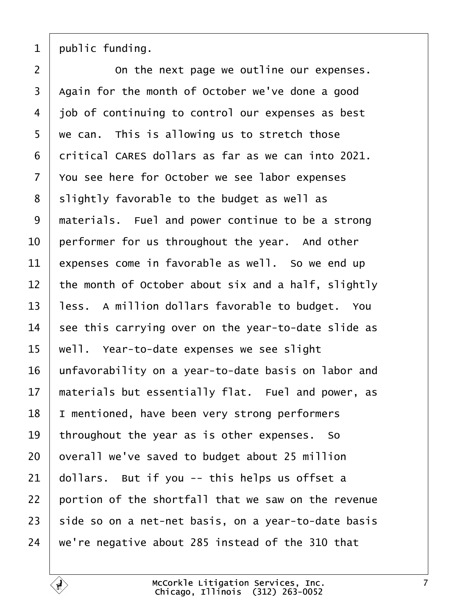<span id="page-6-0"></span>1 public funding.

 $2 \mid$  On the next page we outline our expenses. 3 Again for the month of October we've done a good 4 *ibb* of continuing to control our expenses as best 5 we can. This is allowing us to stretch those 6 dritical CARES dollars as far as we can into 2021. 7 You see here for October we see labor expenses 8 slightly favorable to the budget as well as 9 materials. Fuel and power continue to be a strong 10 performer for us throughout the year. And other 11 expenses come in favorable as well. So we end up 12 the month of October about six and a half, slightly 13 less. A million dollars favorable to budget. You 14 see this carrying over on the year-to-date slide as 15 well. Year-to-date expenses we see slight 16 unfavorability on a year-to-date basis on labor and 17 materials but essentially flat. Fuel and power, as 18 I mentioned, have been very strong performers 19 throughout the year as is other expenses. So 20 byerall we've saved to budget about 25 million 21  $\theta$  ollars. But if you -- this helps us offset a 22 bortion of the shortfall that we saw on the revenue 23 side so on a net-net basis, on a year-to-date basis 24 we're negative about 285 instead of the 310 that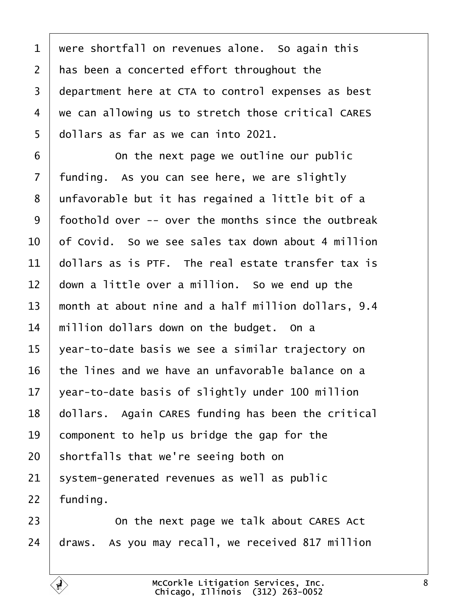<span id="page-7-0"></span>1 were shortfall on revenues alone. So again this 2 has been a concerted effort throughout the 3 department here at CTA to control expenses as best 4 we can allowing us to stretch those critical CARES 5 dollars as far as we can into 2021.  $6 \mid$  On the next page we outline our public 7 funding. As you can see here, we are slightly 8 unfavorable but it has regained a little bit of a ·9· ·foothold over -- over the months since the outbreak 10 bt Covid. So we see sales tax down about 4 million 11 dollars as is PTF. The real estate transfer tax is 12  $\,$  down a little over a million. So we end up the 13 month at about nine and a half million dollars, 9.4 14 million dollars down on the budget. On a 15 vear-to-date basis we see a similar trajectory on 16 the lines and we have an unfavorable balance on a 17  $\sqrt{2}$  vear-to-date basis of slightly under 100 million 18 dollars. Again CARES funding has been the critical 19 component to help us bridge the gap for the 20 shortfalls that we're seeing both on 21 system-generated revenues as well as public 22 funding. 23 **Comet Languist** 23 **Combinding 123 COM CARES** Act 24 draws. As you may recall, we received 817 million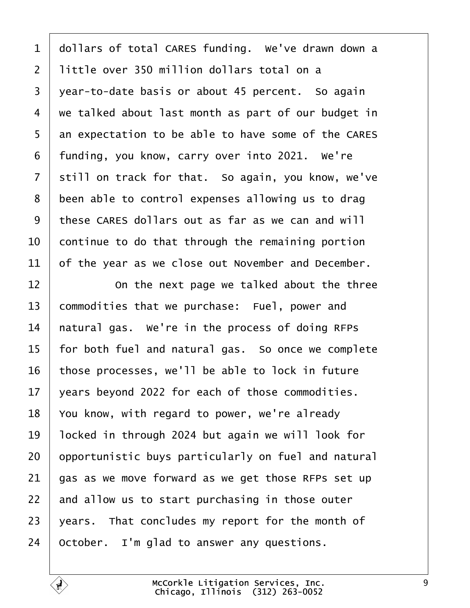<span id="page-8-0"></span>1 dollars of total CARES funding. We've drawn down a 2 little over 350 million dollars total on a 3 year-to-date basis or about 45 percent. So again 4 we talked about last month as part of our budget in 5 an expectation to be able to have some of the CARES 6 funding, you know, carry over into 2021. We're 7 still on track for that. So again, you know, we've 8 been able to control expenses allowing us to drag ·9· ·these CARES dollars out as far as we can and will 10 continue to do that through the remaining portion 11 b f the year as we close out November and December.  $12$   $\Box$  On the next page we talked about the three 13 commodities that we purchase: Fuel, power and 14 hatural gas. We're in the process of doing RFPs 15 for both fuel and natural gas. So once we complete 16 those processes, we'll be able to lock in future 17  $\sqrt{2}$  vears beyond 2022 for each of those commodities. 18 You know, with regard to power, we're already 19 locked in through 2024 but again we will look for 20 by portunistic buys particularly on fuel and natural 21  $\theta$ as as we move forward as we get those RFPs set up 22 and allow us to start purchasing in those outer 23 vears. That concludes my report for the month of 24 October. I'm glad to answer any questions.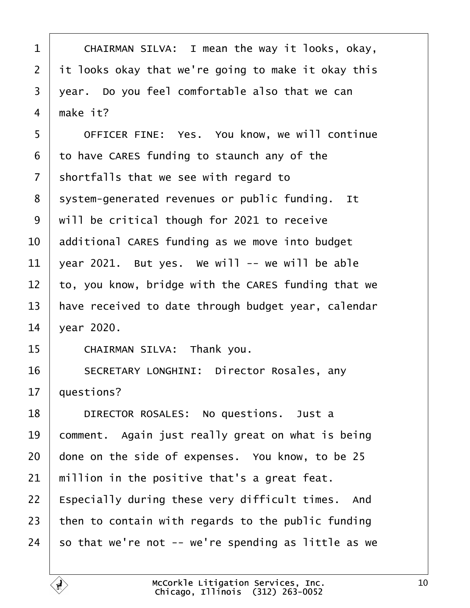- <span id="page-9-0"></span>1 | CHAIRMAN SILVA: I mean the way it looks, okay,
- 2 it looks okay that we're going to make it okay this
- 3 year. Do you feel comfortable also that we can
- 4 make it?
- 5 | OFFICER FINE: Yes. You know, we will continue
- ·6· ·to have CARES funding to staunch any of the
- 7 shortfalls that we see with regard to
- 8 system-generated revenues or public funding. It
- ·9· ·will be critical though for 2021 to receive
- 10 additional CARES funding as we move into budget
- 11  $\sqrt{2}$  vear 2021. But yes. We will -- we will be able
- 12 to, you know, bridge with the CARES funding that we
- 13 have received to date through budget year, calendar
- 14 vear 2020.
- 15 | CHAIRMAN SILVA: Thank you.
- 16 | SECRETARY LONGHINI: Director Rosales, any
- 17 **questions?**
- 18 | DIRECTOR ROSALES: No questions. Just a
- 19 comment. Again just really great on what is being
- 20 done on the side of expenses. You know, to be 25
- 21 million in the positive that's a great feat.
- 22 Especially during these very difficult times. And
- 23 then to contain with regards to the public funding
- 24  $\,$  so that we're not -- we're spending as little as we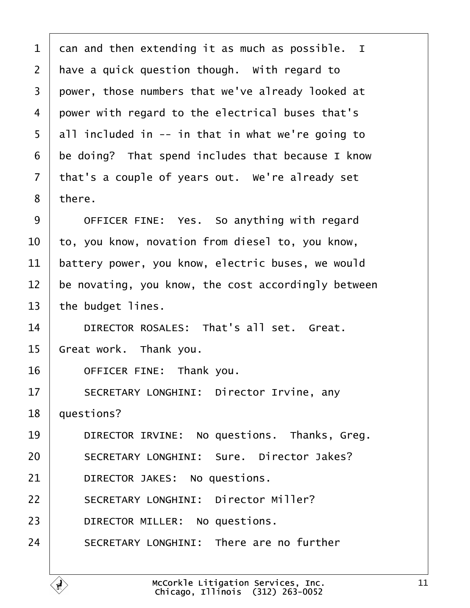<span id="page-10-0"></span>

| 1              | dan and then extending it as much as possible. I    |
|----------------|-----------------------------------------------------|
| $\overline{2}$ | have a quick question though. With regard to        |
| 3              | power, those numbers that we've already looked at   |
| 4              | power with regard to the electrical buses that's    |
| 5              | all included in -- in that in what we're going to   |
| 6              | be doing? That spend includes that because I know   |
| 7              | that's a couple of years out. We're already set     |
| 8              | there.                                              |
| 9              | OFFICER FINE: Yes. So anything with regard          |
| 10             | to, you know, novation from diesel to, you know,    |
| 11             | battery power, you know, electric buses, we would   |
| 12             | be novating, you know, the cost accordingly between |
| 13             | the budget lines.                                   |
| 14             | DIRECTOR ROSALES: That's all set. Great.            |
| 15             | Great work. Thank you.                              |
| 16             | OFFICER FINE: Thank you.                            |
| 17             | <b>SECRETARY LONGHINI: Director Irvine, any</b>     |
| 18             | questions?                                          |
| 19             | DIRECTOR IRVINE: No questions. Thanks, Greg.        |
| 20             | <b>SECRETARY LONGHINI: Sure. Director Jakes?</b>    |
| 21             | DIRECTOR JAKES: No questions.                       |
| 22             | <b>SECRETARY LONGHINI: Director Miller?</b>         |
| 23             | DIRECTOR MILLER: No questions.                      |
| 24             | <b>SECRETARY LONGHINI: There are no further</b>     |
|                |                                                     |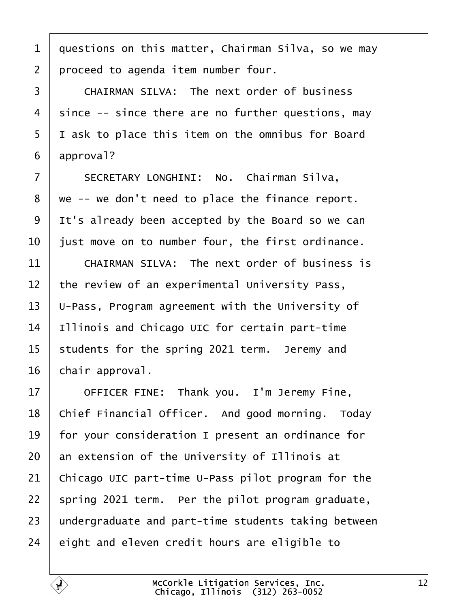- <span id="page-11-0"></span>1 duestions on this matter, Chairman Silva, so we may
- 2 proceed to agenda item number four.
- 3 CHAIRMAN SILVA: The next order of business
- 4 since -- since there are no further questions, may
- 5 I ask to place this item on the omnibus for Board
- 6 approval?
- 7 | SECRETARY LONGHINI: No. Chairman Silva,
- 8 we -- we don't need to place the finance report.
- 9 It's already been accepted by the Board so we can
- 10 just move on to number four, the first ordinance.
- 11  $\parallel$  CHAIRMAN SILVA: The next order of business is
- 12 the review of an experimental University Pass,
- 13 U-Pass, Program agreement with the University of
- 14 Illinois and Chicago UIC for certain part-time
- 15 students for the spring 2021 term. Jeremy and
- 16 chair approval.
- 17 | OFFICER FINE: Thank you. I'm Jeremy Fine,
- 18 Chief Financial Officer. And good morning. Today
- 19 for your consideration I present an ordinance for
- 20 an extension of the University of Illinois at
- 21 Chicago UIC part-time U-Pass pilot program for the
- 22 spring 2021 term. Per the pilot program graduate,
- 23 undergraduate and part-time students taking between
- 24 eight and eleven credit hours are eligible to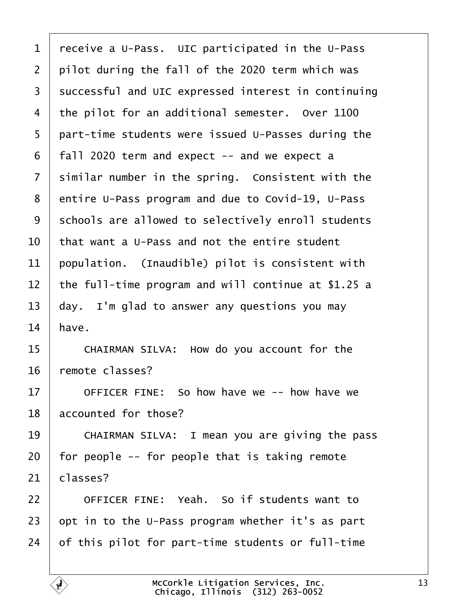<span id="page-12-0"></span>

| 1  | receive a U-Pass. UIC participated in the U-Pass    |
|----|-----------------------------------------------------|
| 2  | pilot during the fall of the 2020 term which was    |
| 3  | successful and UIC expressed interest in continuing |
| 4  | the pilot for an additional semester. Over 1100     |
| 5  | part-time students were issued U-Passes during the  |
| 6  | fall 2020 term and expect -- and we expect a        |
| 7  | similar number in the spring. Consistent with the   |
| 8  | entire U-Pass program and due to Covid-19, U-Pass   |
| 9  | schools are allowed to selectively enroll students  |
| 10 | that want a U-Pass and not the entire student       |
| 11 | population. (Inaudible) pilot is consistent with    |
| 12 | the full-time program and will continue at \$1.25 a |
| 13 | day. I'm glad to answer any questions you may       |
| 14 | have.                                               |
| 15 | CHAIRMAN SILVA: How do you account for the          |
| 16 | remote classes?                                     |
| 17 | OFFICER FINE: So how have we -- how have we         |
| 18 | accounted for those?                                |
| 19 | CHAIRMAN SILVA: I mean you are giving the pass      |
| 20 | for people -- for people that is taking remote      |
| 21 | classes?                                            |
| 22 | OFFICER FINE: Yeah. So if students want to          |
| 23 | opt in to the U-Pass program whether it's as part   |
| 24 | of this pilot for part-time students or full-time   |
|    |                                                     |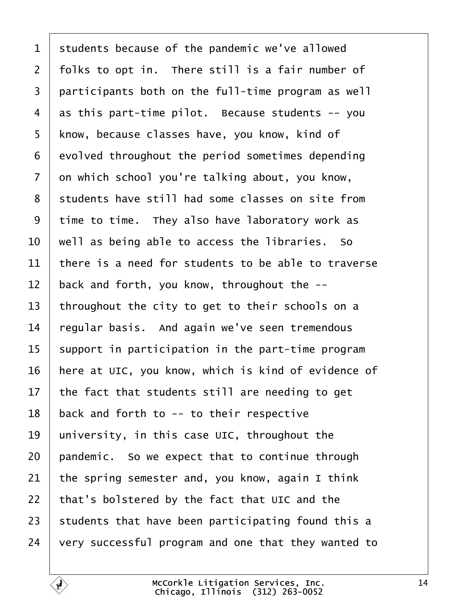<span id="page-13-0"></span>

| $\mathbf 1$    | students because of the pandemic we've allowed      |
|----------------|-----------------------------------------------------|
| $\overline{2}$ | folks to opt in. There still is a fair number of    |
| 3              | participants both on the full-time program as well  |
| 4              | as this part-time pilot. Because students -- you    |
| 5              | know, because classes have, you know, kind of       |
| 6              | evolved throughout the period sometimes depending   |
| $\overline{7}$ | on which school you're talking about, you know,     |
| 8              | students have still had some classes on site from   |
| 9              | time to time. They also have laboratory work as     |
| 10             | well as being able to access the libraries. So      |
| 11             | there is a need for students to be able to traverse |
| 12             | back and forth, you know, throughout the --         |
| 13             | throughout the city to get to their schools on a    |
| 14             | regular basis. And again we've seen tremendous      |
| 15             | support in participation in the part-time program   |
| 16             | here at UIC, you know, which is kind of evidence of |
| 17             | the fact that students still are needing to get     |
| 18             | back and forth to -- to their respective            |
| 19             | university, in this case UIC, throughout the        |
| 20             | pandemic. So we expect that to continue through     |
| 21             | the spring semester and, you know, again I think    |
| 22             | that's bolstered by the fact that UIC and the       |
| 23             | students that have been participating found this a  |
| 24             | very successful program and one that they wanted to |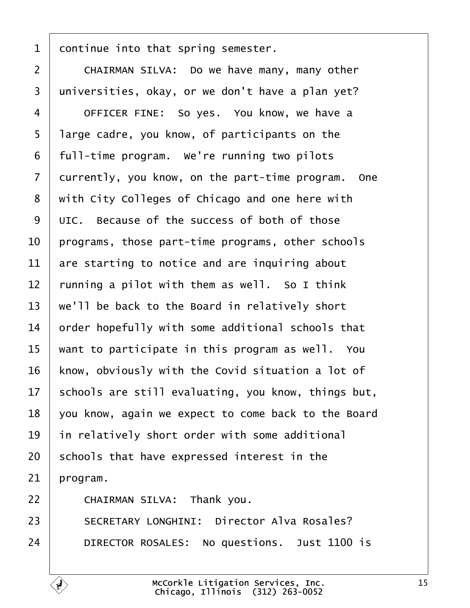<span id="page-14-0"></span>

| 1  | dontinue into that spring semester.                 |
|----|-----------------------------------------------------|
| 2  | CHAIRMAN SILVA: Do we have many, many other         |
| 3  | universities, okay, or we don't have a plan yet?    |
| 4  | OFFICER FINE: So yes. You know, we have a           |
| 5  | large cadre, you know, of participants on the       |
| 6  | full-time program. We're running two pilots         |
| 7  | durrently, you know, on the part-time program. One  |
| 8  | with City Colleges of Chicago and one here with     |
| 9  | UIC. Because of the success of both of those        |
| 10 | programs, those part-time programs, other schools   |
| 11 | are starting to notice and are inquiring about      |
| 12 | funning a pilot with them as well. So I think       |
| 13 | we'll be back to the Board in relatively short      |
| 14 | order hopefully with some additional schools that   |
| 15 | want to participate in this program as well. You    |
| 16 | know, obviously with the Covid situation a lot of   |
| 17 | schools are still evaluating, you know, things but, |
| 18 | you know, again we expect to come back to the Board |
| 19 | in relatively short order with some additional      |
| 20 | schools that have expressed interest in the         |
| 21 | program.                                            |
| 22 | CHAIRMAN SILVA: Thank you.                          |
| 23 | <b>SECRETARY LONGHINI: Director Alva Rosales?</b>   |
| 24 | DIRECTOR ROSALES: No questions. Just 1100 is        |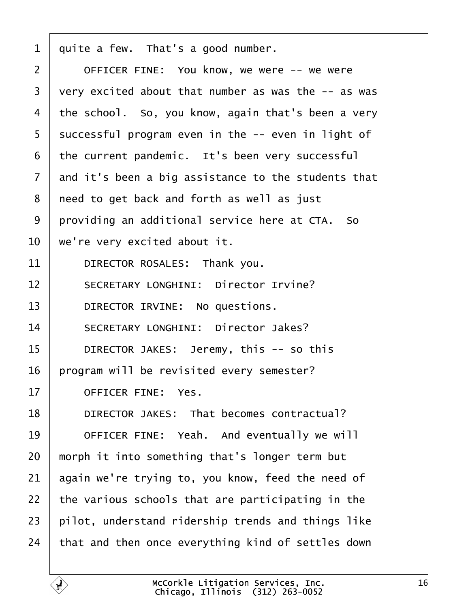<span id="page-15-0"></span>

| 1              | quite a few. That's a good number.                  |
|----------------|-----------------------------------------------------|
| $\overline{2}$ | OFFICER FINE: You know, we were -- we were          |
| 3              | very excited about that number as was the -- as was |
| 4              | the school. So, you know, again that's been a very  |
| 5              | successful program even in the -- even in light of  |
| 6              | the current pandemic. It's been very successful     |
| 7              | and it's been a big assistance to the students that |
| 8              | need to get back and forth as well as just          |
| 9              | providing an additional service here at CTA. So     |
| 10             | we're very excited about it.                        |
| 11             | DIRECTOR ROSALES: Thank you.                        |
| 12             | <b>SECRETARY LONGHINI: Director Irvine?</b>         |
| 13             | DIRECTOR IRVINE: No questions.                      |
| 14             | <b>SECRETARY LONGHINI: Director Jakes?</b>          |
| 15             | DIRECTOR JAKES: Jeremy, this -- so this             |
| 16             | program will be revisited every semester?           |
| 17             | <b>OFFICER FINE: Yes.</b>                           |
| 18             | DIRECTOR JAKES: That becomes contractual?           |
| 19             | OFFICER FINE: Yeah. And eventually we will          |
| 20             | morph it into something that's longer term but      |
| 21             | again we're trying to, you know, feed the need of   |
| 22             | the various schools that are participating in the   |
| 23             | pilot, understand ridership trends and things like  |
| 24             | that and then once everything kind of settles down  |

 $\Gamma$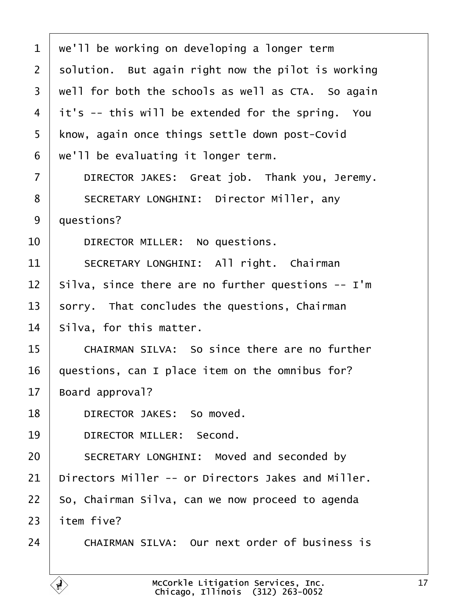<span id="page-16-0"></span>1 we'll be working on developing a longer term 2 solution. But again right now the pilot is working 3 well for both the schools as well as CTA. So again 4 it's -- this will be extended for the spring. You 5 know, again once things settle down post-Covid 6 we'll be evaluating it longer term. 7 | DIRECTOR JAKES: Great job. Thank you, Jeremy. 8 | SECRETARY LONGHINI: Director Miller, any 9 duestions? 10 | DIRECTOR MILLER: No questions. 11 | SECRETARY LONGHINI: All right. Chairman 12 Silva, since there are no further questions -- I'm 13 sorry. That concludes the questions, Chairman 14 Silva, for this matter. 15 **CHAIRMAN SILVA: So since there are no further** 16 guestions, can I place item on the omnibus for? 17 Board approval? 18 | DIRECTOR JAKES: So moved. 19 | DIRECTOR MILLER: Second. 20 | SECRETARY LONGHINI: Moved and seconded by 21 Directors Miller -- or Directors Jakes and Miller. 22 So, Chairman Silva, can we now proceed to agenda 23 **item five?** 24 CHAIRMAN SILVA: Our next order of business is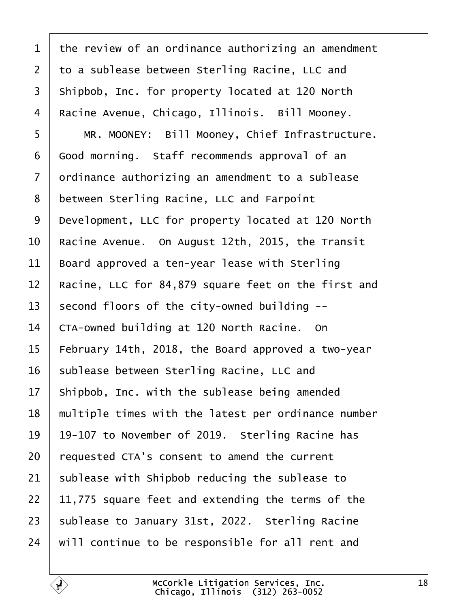<span id="page-17-0"></span>

| 1              | the review of an ordinance authorizing an amendment |
|----------------|-----------------------------------------------------|
| $\overline{2}$ | to a sublease between Sterling Racine, LLC and      |
| 3              | Shipbob, Inc. for property located at 120 North     |
| $\overline{4}$ | Racine Avenue, Chicago, Illinois. Bill Mooney.      |
| 5              | MR. MOONEY: Bill Mooney, Chief Infrastructure.      |
| 6              | Good morning. Staff recommends approval of an       |
| $\overline{7}$ | drdinance authorizing an amendment to a sublease    |
| 8              | between Sterling Racine, LLC and Farpoint           |
| 9              | Development, LLC for property located at 120 North  |
| 10             | Racine Avenue. On August 12th, 2015, the Transit    |
| 11             | Board approved a ten-year lease with Sterling       |
| 12             | Racine, LLC for 84,879 square feet on the first and |
| 13             | second floors of the city-owned building --         |
| 14             | CTA-owned building at 120 North Racine. On          |
| 15             | February 14th, 2018, the Board approved a two-year  |
| 16             | sublease between Sterling Racine, LLC and           |
| 17             | Shipbob, Inc. with the sublease being amended       |
| 18             | multiple times with the latest per ordinance number |
| 19             | 19-107 to November of 2019. Sterling Racine has     |
| 20             | requested CTA's consent to amend the current        |
| 21             | sublease with Shipbob reducing the sublease to      |
| 22             | 11,775 square feet and extending the terms of the   |
| 23             | sublease to January 31st, 2022. Sterling Racine     |
| 24             | will continue to be responsible for all rent and    |
|                |                                                     |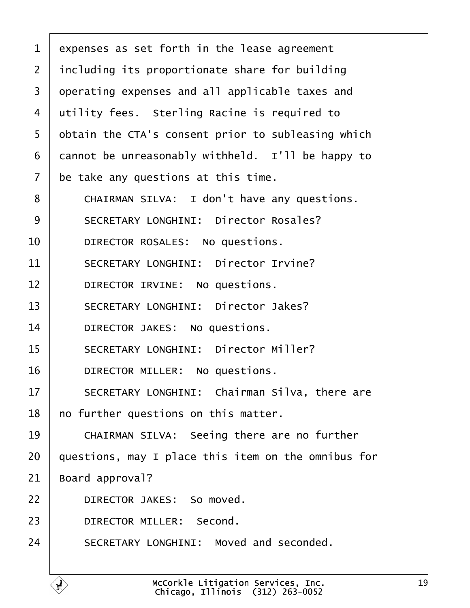<span id="page-18-0"></span>

| $\mathbf 1$    | expenses as set forth in the lease agreement        |
|----------------|-----------------------------------------------------|
| 2              | including its proportionate share for building      |
| 3              | dperating expenses and all applicable taxes and     |
| 4              | utility fees. Sterling Racine is required to        |
| 5              | obtain the CTA's consent prior to subleasing which  |
| 6              | dannot be unreasonably withheld. I'll be happy to   |
| $\overline{7}$ | be take any questions at this time.                 |
| 8              | CHAIRMAN SILVA: I don't have any questions.         |
| 9              | <b>SECRETARY LONGHINI: Director Rosales?</b>        |
| 10             | DIRECTOR ROSALES: No questions.                     |
| 11             | <b>SECRETARY LONGHINI: Director Irvine?</b>         |
| 12             | DIRECTOR IRVINE: No questions.                      |
| 13             | <b>SECRETARY LONGHINI: Director Jakes?</b>          |
| 14             | DIRECTOR JAKES: No questions.                       |
| 15             | <b>SECRETARY LONGHINI: Director Miller?</b>         |
| 16             | DIRECTOR MILLER: No questions.                      |
| 17             | SECRETARY LONGHINI: Chairman Silva, there are       |
| 18             | no further questions on this matter.                |
| 19             | CHAIRMAN SILVA: Seeing there are no further         |
| 20             | questions, may I place this item on the omnibus for |
| 21             | Board approval?                                     |
| 22             | DIRECTOR JAKES: So moved.                           |
| 23             | <b>DIRECTOR MILLER: Second.</b>                     |
| 24             | SECRETARY LONGHINI: Moved and seconded.             |
|                |                                                     |

 $\sqrt{ }$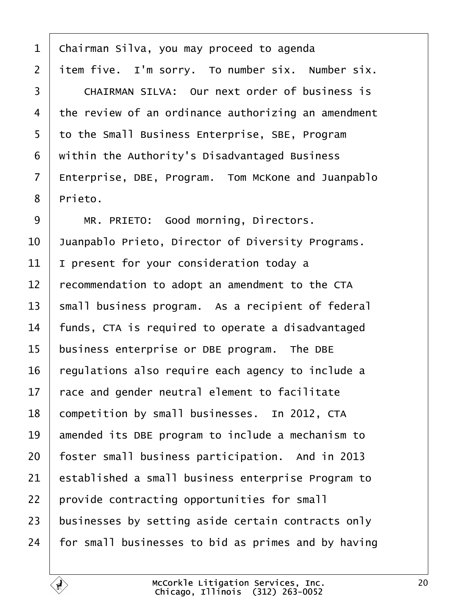- <span id="page-19-0"></span>1 Chairman Silva, you may proceed to agenda
- 2 item five. I'm sorry. To number six. Number six.
- 3 CHAIRMAN SILVA: Our next order of business is
- 4 the review of an ordinance authorizing an amendment
- 5 to the Small Business Enterprise, SBE, Program
- 6 within the Authority's Disadvantaged Business
- 7 Enterprise, DBE, Program. Tom McKone and Juanpablo
- 8 Prieto.
- 9 | MR. PRIETO: Good morning, Directors.
- 10 Juanpablo Prieto, Director of Diversity Programs.
- 11 | present for your consideration today a
- 12 recommendation to adopt an amendment to the CTA
- 13 small business program. As a recipient of federal
- 14 funds, CTA is required to operate a disadvantaged
- 15 business enterprise or DBE program. The DBE
- 16 regulations also require each agency to include a
- 17 race and gender neutral element to facilitate
- 18 competition by small businesses. In 2012, CTA
- 19 amended its DBE program to include a mechanism to
- 20 foster small business participation. And in 2013
- 21 established a small business enterprise Program to
- 22 provide contracting opportunities for small
- 23 businesses by setting aside certain contracts only
- 24 for small businesses to bid as primes and by having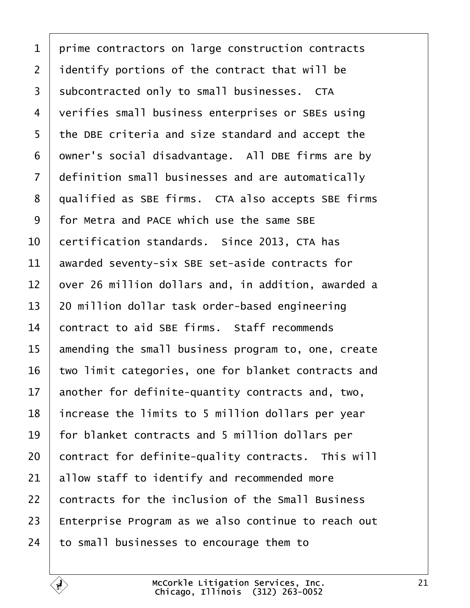<span id="page-20-0"></span>

| 1               | prime contractors on large construction contracts   |
|-----------------|-----------------------------------------------------|
| $\overline{2}$  | identify portions of the contract that will be      |
| 3               | subcontracted only to small businesses. CTA         |
| 4               | verifies small business enterprises or SBEs using   |
| 5               | the DBE criteria and size standard and accept the   |
| 6               | dwner's social disadvantage. All DBE firms are by   |
| 7               | definition small businesses and are automatically   |
| 8               | qualified as SBE firms. CTA also accepts SBE firms  |
| 9               | for Metra and PACE which use the same SBE           |
| 10              | certification standards. Since 2013, CTA has        |
| 11              | awarded seventy-six SBE set-aside contracts for     |
| 12              | over 26 million dollars and, in addition, awarded a |
| 13              | 20 million dollar task order-based engineering      |
| 14              | contract to aid SBE firms. Staff recommends         |
| 15              | amending the small business program to, one, create |
| 16              | two limit categories, one for blanket contracts and |
| 17 <sub>1</sub> | another for definite-quantity contracts and, two,   |
| 18              | increase the limits to 5 million dollars per year   |
| 19              | for blanket contracts and 5 million dollars per     |
| 20              | contract for definite-quality contracts. This will  |
| 21              | allow staff to identify and recommended more        |
| 22              | contracts for the inclusion of the Small Business   |
| 23              | Enterprise Program as we also continue to reach out |
| 24              | to small businesses to encourage them to            |
|                 |                                                     |

 $\sqrt{ }$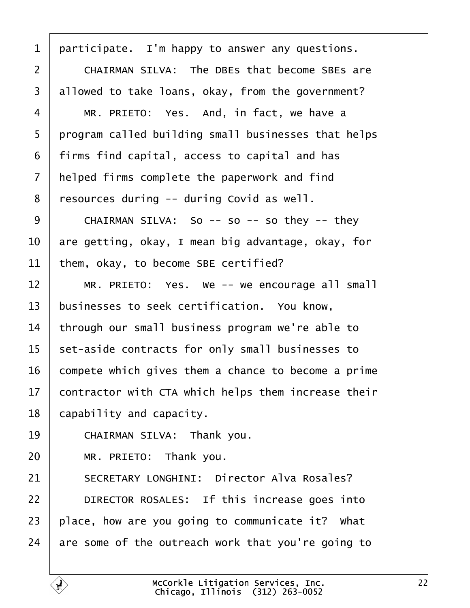<span id="page-21-0"></span>

| 1              | participate. I'm happy to answer any questions.      |
|----------------|------------------------------------------------------|
| $\overline{2}$ | <b>CHAIRMAN SILVA: The DBEs that become SBEs are</b> |
| 3              | allowed to take loans, okay, from the government?    |
| 4              | MR. PRIETO: Yes. And, in fact, we have a             |
| 5              | program called building small businesses that helps  |
| 6              | firms find capital, access to capital and has        |
| 7              | helped firms complete the paperwork and find         |
| 8              | resources during -- during Covid as well.            |
| 9              | CHAIRMAN SILVA: So -- so -- so they -- they          |
| 10             | are getting, okay, I mean big advantage, okay, for   |
| 11             | them, okay, to become SBE certified?                 |
| 12             | MR. PRIETO: Yes. We -- we encourage all small        |
| 13             | businesses to seek certification. You know,          |
| 14             | through our small business program we're able to     |
| 15             | set-aside contracts for only small businesses to     |
| 16             | compete which gives them a chance to become a prime  |
| 17             | contractor with CTA which helps them increase their  |
| 18             | capability and capacity.                             |
| 19             | CHAIRMAN SILVA: Thank you.                           |
| 20             | MR. PRIETO: Thank you.                               |
| 21             | <b>SECRETARY LONGHINI: Director Alva Rosales?</b>    |
| 22             | DIRECTOR ROSALES: If this increase goes into         |
| 23             | place, how are you going to communicate it? What     |
| 24             | are some of the outreach work that you're going to   |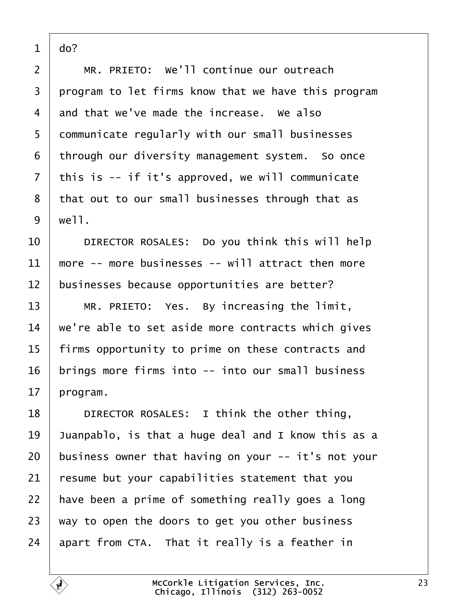<span id="page-22-0"></span>

| ∩<br>Ω<br>r |
|-------------|

| 2              | MR. PRIETO: We'll continue our outreach             |
|----------------|-----------------------------------------------------|
| 3              | program to let firms know that we have this program |
| 4              | and that we've made the increase. We also           |
| 5              | dommunicate regularly with our small businesses     |
| 6              | through our diversity management system. So once    |
| $\overline{7}$ | this is -- if it's approved, we will communicate    |
| 8              | that out to our small businesses through that as    |
| 9              | well.                                               |
| 10             | DIRECTOR ROSALES: Do you think this will help       |
| 11             | more -- more businesses -- will attract then more   |
| 12             | businesses because opportunities are better?        |
| 13             | MR. PRIETO: Yes. By increasing the limit,           |
| 14             | we're able to set aside more contracts which gives  |
| 15             | firms opportunity to prime on these contracts and   |
| 16             | brings more firms into -- into our small business   |
| 17             | program.                                            |
| 18             | DIRECTOR ROSALES: I think the other thing,          |
| 19             | Juanpablo, is that a huge deal and I know this as a |
| 20             | business owner that having on your -- it's not your |
| 21             | resume but your capabilities statement that you     |
| 22             | have been a prime of something really goes a long   |
| 23             | way to open the doors to get you other business     |
| 24             | apart from CTA. That it really is a feather in      |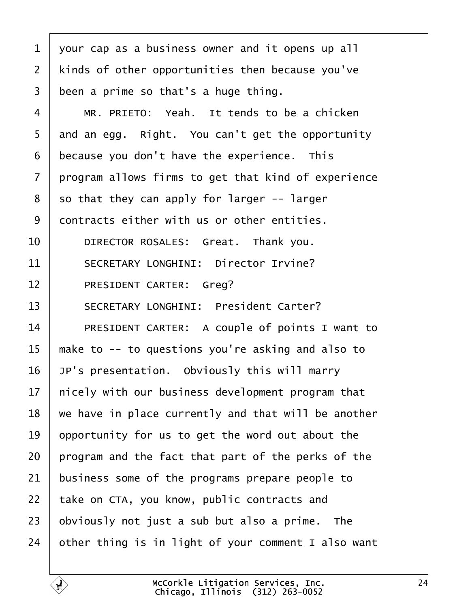<span id="page-23-0"></span>

| 1              | your cap as a business owner and it opens up all    |
|----------------|-----------------------------------------------------|
| $\overline{2}$ | kinds of other opportunities then because you've    |
| 3              | been a prime so that's a huge thing.                |
| 4              | MR. PRIETO: Yeah. It tends to be a chicken          |
| 5              | and an egg. Right. You can't get the opportunity    |
| 6              | because you don't have the experience. This         |
| 7              | program allows firms to get that kind of experience |
| 8              | so that they can apply for larger -- larger         |
| 9              | dontracts either with us or other entities.         |
| 10             | DIRECTOR ROSALES: Great. Thank you.                 |
| 11             | <b>SECRETARY LONGHINI: Director Irvine?</b>         |
| 12             | PRESIDENT CARTER: Greg?                             |
| 13             | <b>SECRETARY LONGHINI: President Carter?</b>        |
| 14             | PRESIDENT CARTER: A couple of points I want to      |
| 15             | make to -- to questions you're asking and also to   |
| 16             | JP's presentation. Obviously this will marry        |
| 17             | hicely with our business development program that   |
| 18             | we have in place currently and that will be another |
| 19             | opportunity for us to get the word out about the    |
| 20             | program and the fact that part of the perks of the  |
| 21             | business some of the programs prepare people to     |
| 22             | take on CTA, you know, public contracts and         |
| 23             | obviously not just a sub but also a prime. The      |
| 24             | other thing is in light of your comment I also want |
|                |                                                     |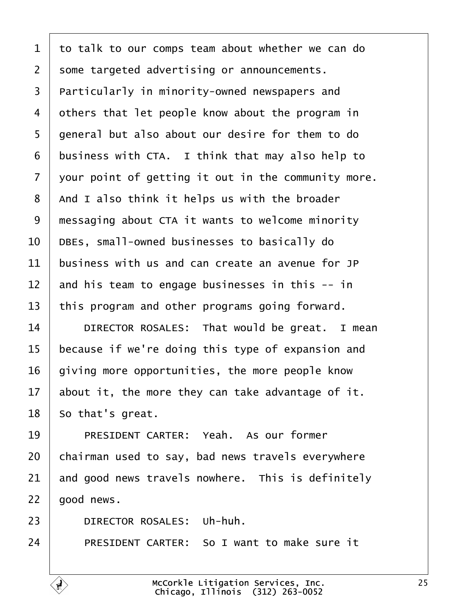<span id="page-24-0"></span>

|  |  |  |  | 1 to talk to our comps team about whether we can do |  |
|--|--|--|--|-----------------------------------------------------|--|
|--|--|--|--|-----------------------------------------------------|--|

2 some targeted advertising or announcements.

- 3 Particularly in minority-owned newspapers and
- 4 dthers that let people know about the program in
- 5 general but also about our desire for them to do
- 6 business with CTA. I think that may also help to
- 7 vour point of getting it out in the community more.
- 8 And I also think it helps us with the broader
- 9 messaging about CTA it wants to welcome minority
- 10 DBEs, small-owned businesses to basically do
- 11 business with us and can create an avenue for JP
- 12 and his team to engage businesses in this -- in
- 13 this program and other programs going forward.
- 14 | DIRECTOR ROSALES: That would be great. I mean
- 15 because if we're doing this type of expansion and
- 16 giving more opportunities, the more people know
- 17 about it, the more they can take advantage of it.

18 So that's great.

- 19 | PRESIDENT CARTER: Yeah. As our former
- 20 chairman used to say, bad news travels everywhere
- 21 and good news travels nowhere. This is definitely

 $22$  good news.

- 23 | DIRECTOR ROSALES: Uh-huh.
- 24 **PRESIDENT CARTER: So I want to make sure it**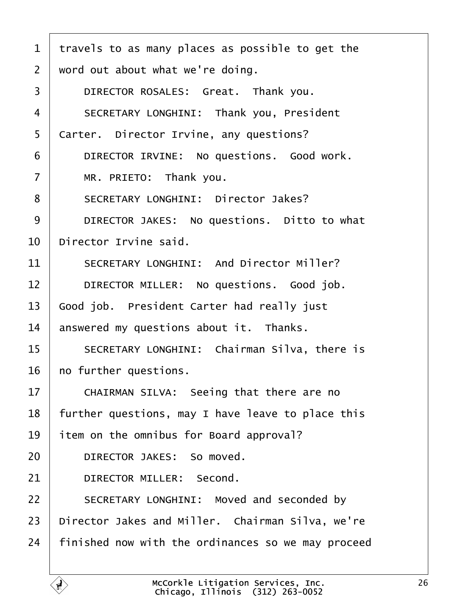<span id="page-25-0"></span>

| 1              | travels to as many places as possible to get the   |
|----------------|----------------------------------------------------|
| $\overline{2}$ | word out about what we're doing.                   |
| 3              | DIRECTOR ROSALES: Great. Thank you.                |
| $\overline{4}$ | <b>SECRETARY LONGHINI: Thank you, President</b>    |
| 5              | Carter. Director Irvine, any questions?            |
| 6              | DIRECTOR IRVINE: No questions. Good work.          |
| $\overline{7}$ | MR. PRIETO: Thank you.                             |
| 8              | <b>SECRETARY LONGHINI: Director Jakes?</b>         |
| 9              | DIRECTOR JAKES: No questions. Ditto to what        |
| 10             | Director Irvine said.                              |
| 11             | <b>SECRETARY LONGHINI: And Director Miller?</b>    |
| 12             | DIRECTOR MILLER: No questions. Good job.           |
| 13             | Good job. President Carter had really just         |
| 14             | answered my questions about it. Thanks.            |
| 15             | SECRETARY LONGHINI: Chairman Silva, there is       |
| 16             | ho further questions.                              |
| 17             | CHAIRMAN SILVA: Seeing that there are no           |
| 18             | further questions, may I have leave to place this  |
| 19             | item on the omnibus for Board approval?            |
| 20             | DIRECTOR JAKES: So moved.                          |
| 21             | <b>DIRECTOR MILLER: Second.</b>                    |
| 22             | SECRETARY LONGHINI: Moved and seconded by          |
| 23             | Director Jakes and Miller. Chairman Silva, we're   |
| 24             | finished now with the ordinances so we may proceed |
|                |                                                    |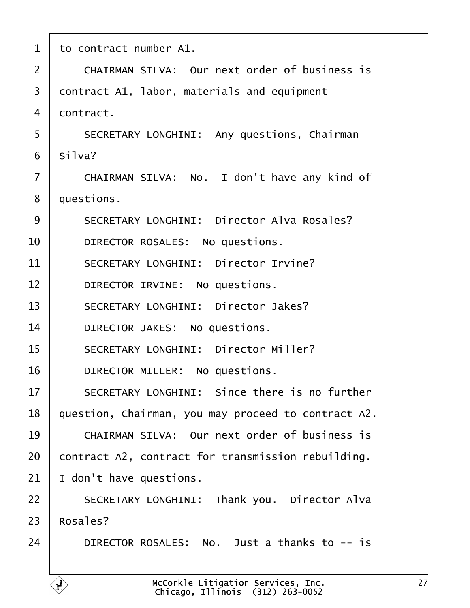<span id="page-26-0"></span>

| 1              | to contract number A1.                               |
|----------------|------------------------------------------------------|
| $\overline{2}$ | <b>CHAIRMAN SILVA: Our next order of business is</b> |
| 3              | contract A1, labor, materials and equipment          |
| 4              | dontract.                                            |
| 5              | <b>SECRETARY LONGHINI: Any questions, Chairman</b>   |
| 6              | Silva?                                               |
| $\overline{7}$ | CHAIRMAN SILVA: No. I don't have any kind of         |
| 8              | duestions.                                           |
| 9              | <b>SECRETARY LONGHINI: Director Alva Rosales?</b>    |
| 10             | DIRECTOR ROSALES: No questions.                      |
| 11             | <b>SECRETARY LONGHINI: Director Irvine?</b>          |
| 12             | DIRECTOR IRVINE: No questions.                       |
| 13             | <b>SECRETARY LONGHINI: Director Jakes?</b>           |
| 14             | DIRECTOR JAKES: No questions.                        |
| 15             | <b>SECRETARY LONGHINI: Director Miller?</b>          |
| 16             | DIRECTOR MILLER: No questions.                       |
| 17             | <b>SECRETARY LONGHINI: Since there is no further</b> |
| 18             | question, Chairman, you may proceed to contract A2.  |
| 19             | <b>CHAIRMAN SILVA: Our next order of business is</b> |
| 20             | contract A2, contract for transmission rebuilding.   |
| 21             | don't have questions.                                |
| 22             | <b>SECRETARY LONGHINI: Thank you. Director Alva</b>  |
| 23             | Rosales?                                             |
| 24             | DIRECTOR ROSALES: No. Just a thanks to -- is         |
|                |                                                      |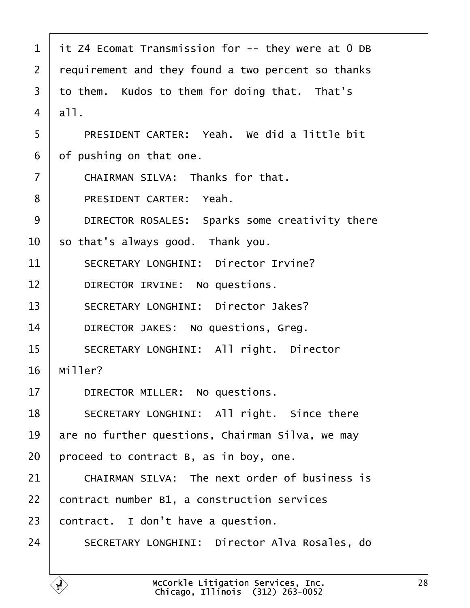<span id="page-27-0"></span>

| 1              | it Z4 Ecomat Transmission for -- they were at 0 DB   |  |
|----------------|------------------------------------------------------|--|
| 2              | requirement and they found a two percent so thanks   |  |
| 3              | to them. Kudos to them for doing that. That's        |  |
| 4              | all.                                                 |  |
| 5              | PRESIDENT CARTER: Yeah. We did a little bit          |  |
| 6              | of pushing on that one.                              |  |
| $\overline{7}$ | CHAIRMAN SILVA: Thanks for that.                     |  |
| 8              | PRESIDENT CARTER: Yeah.                              |  |
| 9              | DIRECTOR ROSALES: Sparks some creativity there       |  |
| 10             | so that's always good. Thank you.                    |  |
| 11             | <b>SECRETARY LONGHINI: Director Irvine?</b>          |  |
| 12             | DIRECTOR IRVINE: No questions.                       |  |
| 13             | <b>SECRETARY LONGHINI: Director Jakes?</b>           |  |
| 14             | DIRECTOR JAKES: No questions, Greg.                  |  |
| 15             | <b>SECRETARY LONGHINI: All right. Director</b>       |  |
| 16             | Miller?                                              |  |
| 17             | DIRECTOR MILLER: No questions.                       |  |
| 18             | SECRETARY LONGHINI: All right. Since there           |  |
| 19             | are no further questions, Chairman Silva, we may     |  |
| 20             | proceed to contract B, as in boy, one.               |  |
| 21             | <b>CHAIRMAN SILVA: The next order of business is</b> |  |
| 22             | contract number B1, a construction services          |  |
| 23             | contract. I don't have a question.                   |  |
| 24             | SECRETARY LONGHINI: Director Alva Rosales, do        |  |
|                |                                                      |  |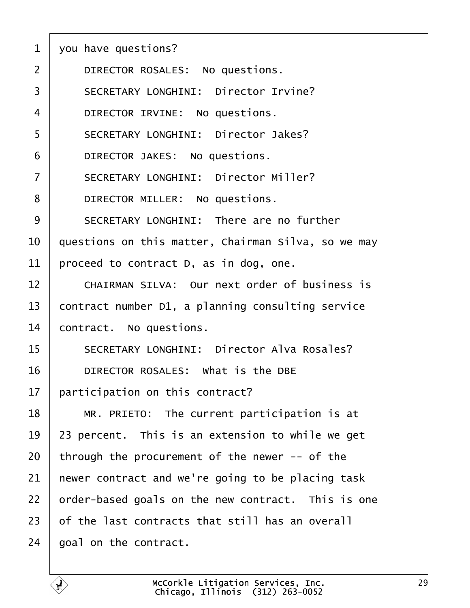<span id="page-28-0"></span>

|  | 1 you have questions? |  |
|--|-----------------------|--|
|  |                       |  |

- 2 | DIRECTOR ROSALES: No questions.
- 3 | SECRETARY LONGHINI: Director Irvine?
- 4 | DIRECTOR IRVINE: No questions.
- 5 | SECRETARY LONGHINI: Director Jakes?
- 6 | DIRECTOR JAKES: No questions.
- 7 | SECRETARY LONGHINI: Director Miller?
- 8 | DIRECTOR MILLER: No questions.
- 9 SECRETARY LONGHINI: There are no further
- 10 duestions on this matter, Chairman Silva, so we may
- 11 proceed to contract D, as in dog, one.
- 12 CHAIRMAN SILVA: Our next order of business is
- 13 contract number D1, a planning consulting service
- 14 **contract.** No questions.
- 15 | SECRETARY LONGHINI: Director Alva Rosales?
- 16 **DIRECTOR ROSALES:** What is the DBE
- 17 **participation on this contract?**
- 18  $\parallel$  MR. PRIETO: The current participation is at
- 19 23 percent. This is an extension to while we get
- 20 through the procurement of the newer -- of the
- 21 hewer contract and we're going to be placing task
- 22 brder-based goals on the new contract. This is one
- 23 of the last contracts that still has an overall
- 24 **boal on the contract.**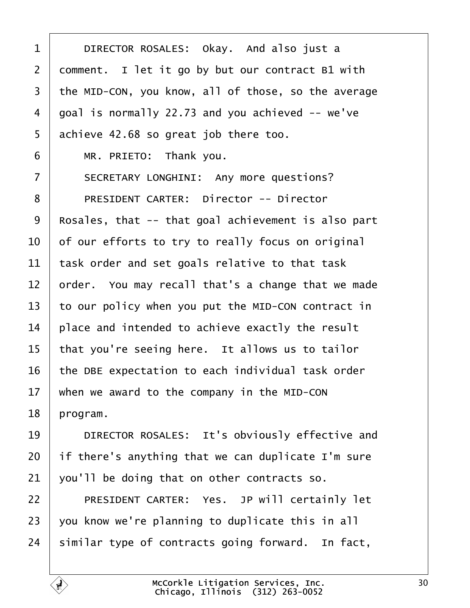<span id="page-29-0"></span>

| 1              | DIRECTOR ROSALES: Okay. And also just a             |
|----------------|-----------------------------------------------------|
| $\overline{2}$ | domment. I let it go by but our contract B1 with    |
| 3              | the MID-CON, you know, all of those, so the average |
| 4              | goal is normally 22.73 and you achieved -- we've    |
| 5              | achieve 42.68 so great job there too.               |
| 6              | MR. PRIETO: Thank you.                              |
| 7              | SECRETARY LONGHINI: Any more questions?             |
| 8              | <b>PRESIDENT CARTER: Director -- Director</b>       |
| 9              | Rosales, that -- that goal achievement is also part |
| 10             | of our efforts to try to really focus on original   |
| 11             | task order and set goals relative to that task      |
| 12             | prder. You may recall that's a change that we made  |
| 13             | to our policy when you put the MID-CON contract in  |
| 14             | place and intended to achieve exactly the result    |
| 15             | that you're seeing here. It allows us to tailor     |
| 16             | the DBE expectation to each individual task order   |
| 17             | when we award to the company in the MID-CON         |
| 18             | program.                                            |
| 19             | DIRECTOR ROSALES: It's obviously effective and      |
| 20             | if there's anything that we can duplicate I'm sure  |
| 21             | you'll be doing that on other contracts so.         |
| 22             | PRESIDENT CARTER: Yes. JP will certainly let        |
| 23             | you know we're planning to duplicate this in all    |
| 24             | similar type of contracts going forward. In fact,   |
|                |                                                     |

Г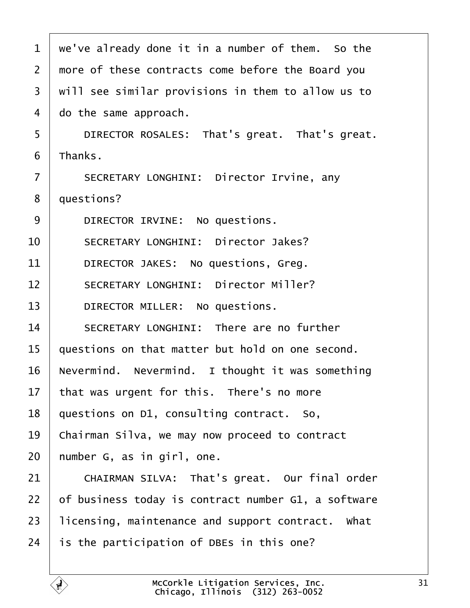<span id="page-30-0"></span>1 we've already done it in a number of them. So the 2 more of these contracts come before the Board you 3 will see similar provisions in them to allow us to 4 do the same approach. 5 | DIRECTOR ROSALES: That's great. That's great. 6 Thanks. 7 | SECRETARY LONGHINI: Director Irvine, any 8 duestions? 9 | DIRECTOR IRVINE: No questions. 10 | SECRETARY LONGHINI: Director Jakes? 11 | DIRECTOR JAKES: No questions, Greg. 12 | SECRETARY LONGHINI: Director Miller? 13 | DIRECTOR MILLER: No questions. 14 | SECRETARY LONGHINI: There are no further 15 questions on that matter but hold on one second. 16 Nevermind. Nevermind. I thought it was something 17 that was urgent for this. There's no more 18 questions on D1, consulting contract. So, 19 Chairman Silva, we may now proceed to contract 20 humber G, as in girl, one. 21 | CHAIRMAN SILVA: That's great. Our final order 22 b f business today is contract number G1, a software 23 licensing, maintenance and support contract. What 24 is the participation of DBEs in this one? McCorkle Litigation Services, Inc. Chicago, Illinois· (312) 263-0052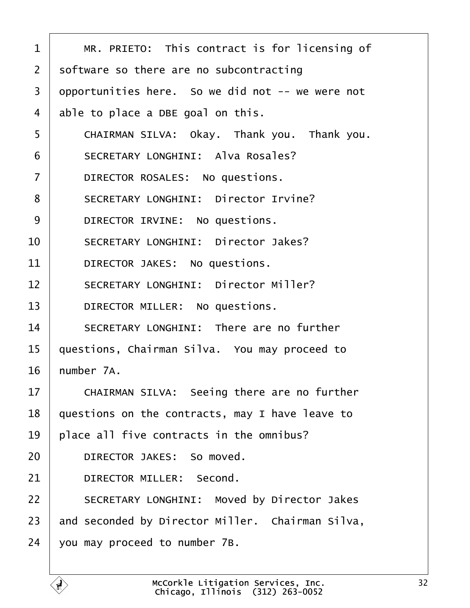<span id="page-31-0"></span>

| 1              | MR. PRIETO: This contract is for licensing of      |
|----------------|----------------------------------------------------|
| 2              | software so there are no subcontracting            |
| 3              | opportunities here. So we did not -- we were not   |
| 4              | able to place a DBE goal on this.                  |
| 5              | CHAIRMAN SILVA: Okay. Thank you. Thank you.        |
| 6              | <b>SECRETARY LONGHINI: Alva Rosales?</b>           |
| $\overline{7}$ | DIRECTOR ROSALES: No questions.                    |
| 8              | <b>SECRETARY LONGHINI: Director Irvine?</b>        |
| 9              | DIRECTOR IRVINE: No questions.                     |
| 10             | <b>SECRETARY LONGHINI: Director Jakes?</b>         |
| 11             | DIRECTOR JAKES: No questions.                      |
| 12             | <b>SECRETARY LONGHINI: Director Miller?</b>        |
| 13             | DIRECTOR MILLER: No questions.                     |
| 14             | SECRETARY LONGHINI: There are no further           |
| 15             | questions, Chairman Silva. You may proceed to      |
| 16             | humber 7A.                                         |
| 17             | CHAIRMAN SILVA: Seeing there are no further        |
| 18             | questions on the contracts, may I have leave to    |
| 19             | place all five contracts in the omnibus?           |
| 20             | DIRECTOR JAKES: So moved.                          |
| 21             | DIRECTOR MILLER: Second.                           |
| 22             | <b>SECRETARY LONGHINI: Moved by Director Jakes</b> |
| 23             | and seconded by Director Miller. Chairman Silva,   |
| 24             | you may proceed to number 7B.                      |
|                |                                                    |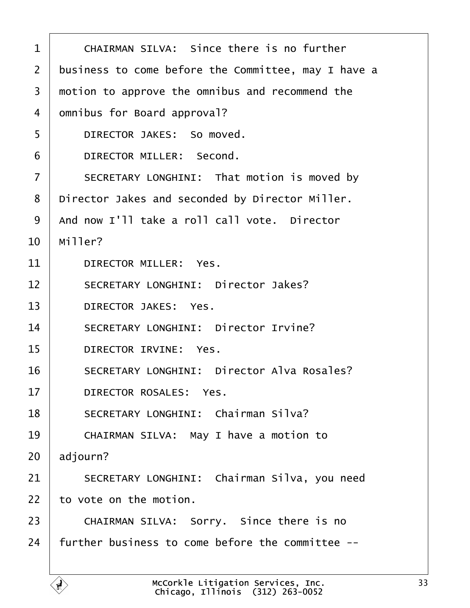<span id="page-32-0"></span>

| 1              | <b>CHAIRMAN SILVA: Since there is no further</b>    |
|----------------|-----------------------------------------------------|
| 2              | business to come before the Committee, may I have a |
| 3              | motion to approve the omnibus and recommend the     |
| 4              | dmnibus for Board approval?                         |
| 5              | DIRECTOR JAKES: So moved.                           |
| 6              | DIRECTOR MILLER: Second.                            |
| $\overline{7}$ | SECRETARY LONGHINI: That motion is moved by         |
| 8              | Director Jakes and seconded by Director Miller.     |
| 9              | And now I'll take a roll call vote. Director        |
| 10             | Miller?                                             |
| 11             | <b>DIRECTOR MILLER: Yes.</b>                        |
| 12             | <b>SECRETARY LONGHINI: Director Jakes?</b>          |
| 13             | <b>DIRECTOR JAKES: Yes.</b>                         |
| 14             | <b>SECRETARY LONGHINI: Director Irvine?</b>         |
| 15             | DIRECTOR IRVINE: Yes.                               |
| 16             | <b>SECRETARY LONGHINI: Director Alva Rosales?</b>   |
| 17             | <b>DIRECTOR ROSALES: Yes.</b>                       |
| 18             | <b>SECRETARY LONGHINI: Chairman Silva?</b>          |
| 19             | CHAIRMAN SILVA: May I have a motion to              |
| 20             | adjourn?                                            |
| 21             | SECRETARY LONGHINI: Chairman Silva, you need        |
| 22             | to vote on the motion.                              |
| 23             | CHAIRMAN SILVA: Sorry. Since there is no            |
| 24             | further business to come before the committee --    |
|                |                                                     |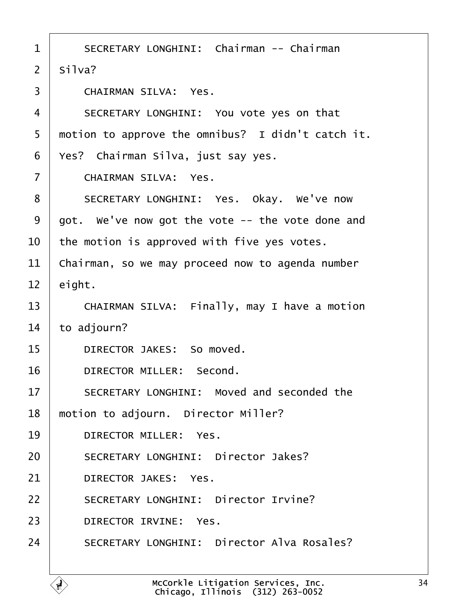<span id="page-33-0"></span>

| 1              | <b>SECRETARY LONGHINI: Chairman -- Chairman</b>   |
|----------------|---------------------------------------------------|
| $\overline{2}$ | Silva?                                            |
| 3              | <b>CHAIRMAN SILVA: Yes.</b>                       |
| $\overline{4}$ | SECRETARY LONGHINI: You vote yes on that          |
| 5              | motion to approve the omnibus? I didn't catch it. |
| 6              | Yes? Chairman Silva, just say yes.                |
| $\overline{7}$ | <b>CHAIRMAN SILVA: Yes.</b>                       |
| 8              | SECRETARY LONGHINI: Yes. Okay. We've now          |
| 9              | got. We've now got the vote -- the vote done and  |
| 10             | the motion is approved with five yes votes.       |
| 11             | Chairman, so we may proceed now to agenda number  |
| 12             | eight.                                            |
| 13             | CHAIRMAN SILVA: Finally, may I have a motion      |
| 14             | to adjourn?                                       |
| 15             | DIRECTOR JAKES: So moved.                         |
| 16             | <b>DIRECTOR MILLER: Second.</b>                   |
| 17             | SECRETARY LONGHINI: Moved and seconded the        |
| 18             | motion to adjourn. Director Miller?               |
| 19             | DIRECTOR MILLER: Yes.                             |
| 20             | <b>SECRETARY LONGHINI: Director Jakes?</b>        |
| 21             | <b>DIRECTOR JAKES: Yes.</b>                       |
| 22             | <b>SECRETARY LONGHINI: Director Irvine?</b>       |
| 23             | <b>DIRECTOR IRVINE: Yes.</b>                      |
| 24             | <b>SECRETARY LONGHINI: Director Alva Rosales?</b> |
|                |                                                   |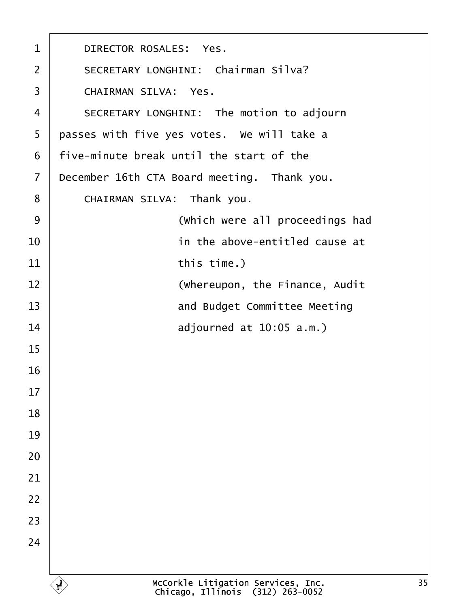<span id="page-34-0"></span>

| 1              | <b>DIRECTOR ROSALES: Yes.</b>               |
|----------------|---------------------------------------------|
| $\overline{2}$ | <b>SECRETARY LONGHINI: Chairman Silva?</b>  |
| 3              | <b>CHAIRMAN SILVA: Yes.</b>                 |
| 4              | SECRETARY LONGHINI: The motion to adjourn   |
| 5              | passes with five yes votes. We will take a  |
| 6              | five-minute break until the start of the    |
| $\overline{7}$ | December 16th CTA Board meeting. Thank you. |
| 8              | CHAIRMAN SILVA: Thank you.                  |
| 9              | (Which were all proceedings had             |
| 10             | in the above-entitled cause at              |
| 11             | this time.)                                 |
| 12             | (Whereupon, the Finance, Audit              |
| 13             | and Budget Committee Meeting                |
| 14             | adjourned at 10:05 a.m.)                    |
| 15             |                                             |
| 16             |                                             |
| 17             |                                             |
| 18             |                                             |
| 19             |                                             |
| 20             |                                             |
| 21             |                                             |
| 22             |                                             |
| 23             |                                             |
| 24             |                                             |
|                |                                             |

 $\Gamma$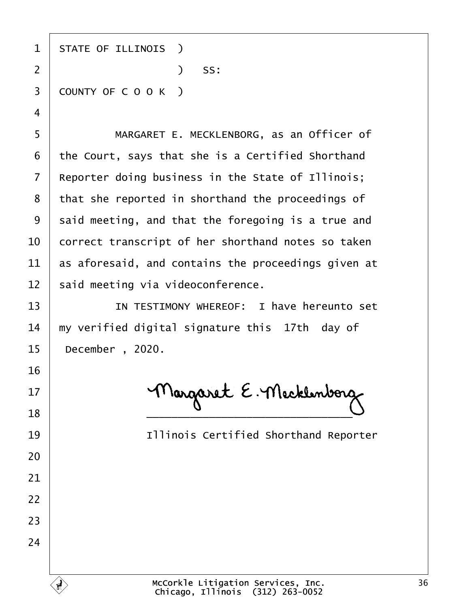| 1  | <b>STATE OF ILLINOIS</b> )                          |
|----|-----------------------------------------------------|
| 2  | $)$ SS:                                             |
| 3  | COUNTY OF COOK)                                     |
| 4  |                                                     |
| 5  | MARGARET E. MECKLENBORG, as an Officer of           |
| 6  | the Court, says that she is a Certified Shorthand   |
| 7  | Reporter doing business in the State of Illinois;   |
| 8  | that she reported in shorthand the proceedings of   |
| 9  | said meeting, and that the foregoing is a true and  |
| 10 | correct transcript of her shorthand notes so taken  |
| 11 | as aforesaid, and contains the proceedings given at |
| 12 | said meeting via videoconference.                   |
| 13 | IN TESTIMONY WHEREOF: I have hereunto set           |
| 14 | my verified digital signature this 17th day of      |
| 15 | December, 2020.                                     |
| 16 |                                                     |
| 17 |                                                     |
| 18 |                                                     |
| 19 | <b>Illinois Certified Shorthand Reporter</b>        |
| 20 |                                                     |
| 21 |                                                     |
| 22 |                                                     |
| 23 |                                                     |
| 24 |                                                     |
|    |                                                     |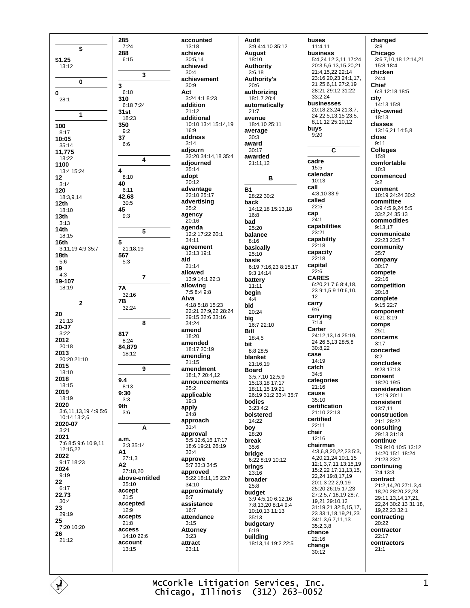\$  $$1.25$  $13:12$  $\mathbf 0$  $\mathbf 0$  $28:1$  $\mathbf{1}$ 100  $8:17$  $10:05$  $35:14$ 11,775 18:22 1100  $13:415:24$  $12$  $3.14$ 120 18:3,9,14  $12th$  $18.10$  $13<sub>th</sub>$  $3:13$  $14th$  $18.15$ 16th 3:11,19 4:9 35:7  $18<sub>th</sub>$  $5:6$ 19  $4:3$ 19-107 18:19  $\overline{2}$ 20  $21:13$  $20 - 37$  $3.22$ 2012  $20:18$ 2013 20:20 21:10 2015  $18.10$ 2018 18:15 2019  $18.19$ 2020 3:6,11,13,19 4:9 5:6 10:14 13:2,6 2020-07  $3.21$ 2021 7:6 8:5 9:6 10:9.11 12:15.22 2022 9:17 18:23 2024  $9.19$ 22  $6:17$ 22.73  $30.4$ 23 29:19 25 7:20 10:20 26  $21:12$ 

285

288

 $\overline{3}$ 

 $7:24$ 

 $6.15$ 

 $6.10$ 

6:18 7:24

310

 $31st$ 

350

37

 $\overline{\mathbf{4}}$ 

40

45

 ${\bf 5}$ 

567

**7A** 

**7B** 

817

 $9.4$ 

 $8:13$ 

 $9:30$ 

9th

 $3.3$ 

 $3:6$ 

a.m.

A1

 $A2$ 

3:3 35:14

 $27:1.3$ 

35:10

accept

 $21.5$ 

 $120$ 

 $21:8$ 

access

account

13:15

ď

accepts

accepted

 $27.1820$ 

 $8.24$ 

84.879

18:12

9

 $32.16$ 

32:24

 $5:3$ 

 $9:2$ 

 $6:6$ 

 $8:10$ 

 $6:11$ 

42.68

 $30:5$ 

 $9:3$ 

21:18,19

 $\overline{7}$ 

 $18.23$ 

accounted 13:18 achieve  $30.514$ achieved  $30 \cdot 4$  $\overline{\mathbf{3}}$ achievement  $30:9$ Act  $3.24418.23$ addition  $21:12$ additional  $16.9$ address  $3.14$ adjourn  $\overline{\mathbf{4}}$ adjourned  $35.14$ adopt  $20:12$ advantage 22:10 25:17 advertising  $25:2$ agency  $20:16$ agenda 5 12:2 17:22 20:1  $34.11$ agreement 12:13 19:1 aid  $21.14$ allowed 13:9 14:1 22:3 allowing 7:5 8:4 9:8 Alva  $4.185.1815.23$ 29:15.32:6.33:16 8  $34.24$ amend 18:20 amended 18:17 20:19 amending  $21:15$ amendment 18:1,7 20:4,12 announcements  $25:2$ applicable  $19:3$ apply  $24:8$ approach  $31:4$ A approval 18:6 19:21 26:19  $33:4$ approve  $5.7333345$ approved above-entitled  $34.10$ approximately  $6.7$ assistance  $16:7$ attendance  $3:15$ **Attorney**  $14.10226$  $3:23$ attract  $23:11$ 

**Audit** 3:9 4:4,10 35:12 **August**  $18:10$ **Authority**  $3:6,18$ **Authority's** 20:6 authorizing 18:1.7 20:4 automatically  $21:7$ avenue 10:10 13:4 15:14,19 18:4,10 25:11 average  $30:3$ award  $30:17$ 33:20 34:14,18 35:4 awarded 21:11.12 B  $R<sub>1</sub>$ 28:22 30:2 back 14:12.18 15:13.18  $16.8$ **bad**  $25:20$ balance  $8:16$ basically  $25:10$ hasis 6:19 7:16,23 8:15,17 9:3 14:14 battery  $11:11$ begin  $4-4$ **hid** 22:21 27:9.22 28:24 20:24 big 16:7 22:10 Bill 18:4.5 bit 8:8 28:5 blanket  $21:1619$ **Board** 3:5,7,10 12:5,9 15:13,18 17:17 18:11, 15 19:21 26:19 31:2 33:4 35:7 bodies  $3:234:2$ bolstered  $14.22$ boy  $28:20$ 5:5 12:6,16 17:17 break  $35.6$ bridge 6:22 8:19 10:12 **brinas**  $23:16$ 5:22 18:11,15 23:7 broader  $25.8$ budget 3:9 4:5,10 6:12,16 7:8,13,20 8:14 9:4 10:10,13 11:13  $35:13$ budgetary  $6.19$ building 18:13,14 19:2 22:5

buses  $11:4.11$ **business** 5:4 24 12:3 11 17:24 20:3.5.6.13.15.20.21  $21.4$  15 22 22:14 23:16 20 23 24:1 17 21 25:6,11 27:2,19 28:21 29:12 31:22  $33.221$ businesses 20:18,23,24 21:3,7, 24 22:5,13,15 23:5, 8,11,12 25:10,12 buvs  $9:20$ C cadre  $15:5$ calendar 10:13 call  $4.810339$ called  $22:5$ cap  $24.1$ capabilities  $23.21$ capability  $22:18$ capacity  $22.18$ capital  $22:6$ **CARES** 6:20,21 7:6 8:4,18, 23 9:1,5,9 10:6,10, 12 carry  $9:6$ carrying  $7:14$ Carter 24:12 13 14 25:19 24 26:5.13 28:5.8 30:8,22 case 14:19 catch  $34.5$ categories  $21:16$ cause  $35:10$ certification  $21.1022.13$ certified  $22:11$ chair  $12.16$ chairman 4:3,6,8,20,22,23 5:3, 4,20,21,24 10:1,15 12:1, 3, 7, 11 13:15, 19 15:2,22 17:11,13,15, 22,24 19:8,17,19 20:1.3 22:2.9.19 25:20 26:15, 17, 23 27:2,5,7,18,19 28:7, 19.21 29:10.12 31:19,21 32:5,15,17, 23 33 1 18 19 21 23 34:1,3,6,7,11,13  $35.238$ chance  $22.16$ change  $30:12$ 

changed  $3:8$ Chicago 3:6,7,10,18 12:14,21<br>15:8 18:4 chicken  $24.4$ **Chief** 6:3 12:18 18:5 city  $14.1315.8$ city-owned  $18:13$ classes  $13.16$  21 14:5 8 close  $9:11$ **Colleges** 15:8 comfortable  $10.3$ commenced  $3:2$ comment 10:19 24:24 30:2 committee 3:9 4:5,9,24 5:5 33:2,24 35:13 commodities  $9.1317$ communicate 22:23 23:5.7 community  $25:7$ company  $30:17$ compete  $22:16$ competition  $20:18$ complete  $9.15227$ component 6:21 8:19 comps  $25:1$ concerns  $3.17$ concerted  $8:2$ concludes 9:23 17:13 consent 18:20 19:5 consideration  $12.1920.11$ consistent  $13.711$ construction 21:1 28:22 consulting 29:13 31:18 continue 7:9 9:10 10:5 13:12 14:20 15:1 18:24 21:23 23:2 continuing 7:4 13:3 contract 21:2,14,20 27:1,3,4, 18.20 28:20.22.23 29:11 13 14 17 21 22.24 30:2.13 31:18. 19,22,23 32:1 contracting  $20.22$ contractor  $22.17$ contractors  $21:1$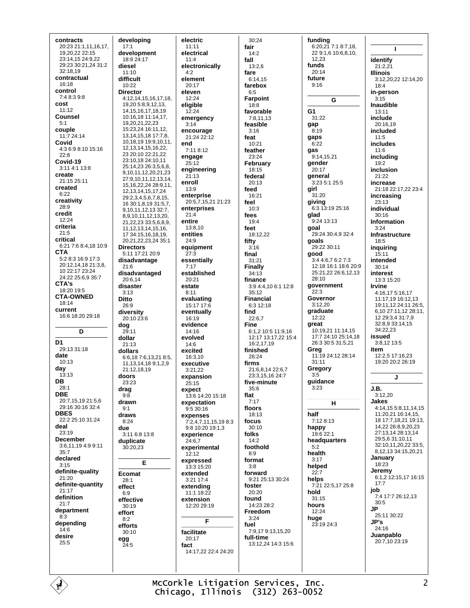contracts 20:23 21:1,11,16,17, 19,20,22 22:15 23:14,15 24:9,22 29:23 30:21,24 31:2 32:18,19 contractual 16:18 control 7:4 8:3 9:8 cost  $11.12$ Counsel  $5.1$ couple 11:7 24:14 Covid  $4:36:98:1015:16$  $22.8$ Covid-19 3:11 4:1 13:8 create 21:15 25:11 created  $6.22$ creativity 28:9 credit  $12.24$ criteria  $21:5$ critical 6:21 7:6 8:4,18 10:9 **CTA** 5:2 8:3 16:9 17:3 20:12,14,18 21:3,8, 10 22:17 23:24 24:22 25:6,9 35:7 CTA's 18:20 19:5 **CTA-OWNED**  $18.14$ current 16:6 18:20 29:18 D D<sub>1</sub> 29:13 31:18 date  $10.13$ day  $13:13$ DB  $28.1$ **DBE** 20:7,15,19 21:5,6 29:16 30:16 32:4 **DBES** 22:2 25:10 31:24 deal  $23.19$ **December** 3:6,11,19 4:9 9:11  $35:7$ declared  $3.15$ definite-quality 21:20 definite-quantity  $21:17$ definition  $21:7$ department  $8:3$ depending  $14:6$ desire  $25:5$ 

É

developing  $17:1$ development  $18.924.17$ diesel  $11:10$ difficult 10:22 **Director** 4.12 14 15 16 17 18 19 20 5 8 9 12 13 14, 15, 16, 17, 18, 19 10:16 18 11:14 17 19,20,21,22,23 15:23,24 16:11,12, 13, 14, 15, 18 17: 7, 8, 10,18,19 19:9,10,11, 12, 13, 14, 15, 16, 22, 23 20:10 22:21,22 23:10,18 24:10,11 25:14,23 26:3,5,6,8, 9,10,11,12,20,21,23 27:9,10,11,12,13,14, 15 16 22 24 28 9 11 12, 13, 14, 15, 17, 24  $29:2.3.4.5.6.7.8.15$ 16 30:1.8.19 31:5.7. 9 10 11 12 13 32 7 8,9,10,11,12,13,20, 21 22 23 33 5 6 8 9 11, 12, 13, 14, 15, 16, 17 34:15,16,18,19, 20,21,22,23,24 35:1 **Directors** 5:11 17:21 20:9 disadvantage  $21:6$ disadvantaged 20:6.14 disaster  $3:13$ **Ditto**  $26:9$ diversity 20:10 23:6  $\log$  $29.11$ dollar  $21:13$ dollars 6:6.18 7:6.13.21 8:5. 11, 13, 14, 18 9: 1, 2, 9 21:12.18.19 doors  $23.23$ drag  $Q \cdot R$ drawn  $Q·1$ draws  $8.24$ due 3:11 6:8 13:8 duplicate  $30:20.23$ E **Ecomat**  $28:1$ effect  $6.9$ effective 30:19 effort  $8:2$ efforts  $30:10$ egg  $24:5$ 

electric  $11:11$ electrical  $11.4$ electronically  $4:2$ element 20:17 eleven  $12.24$ eligible  $12:24$ emergency  $3:14$ encourage 21:24 22:12 end  $7.118.12$ engage  $25:12$ engineering  $21:13$ enroll  $13:9$ enterprise  $20.5715212123$ enterprises  $21:4$ entire  $13.810$ entities  $24.9$ equipment  $27:3$ essentially  $7.17$ established 20:21 estate  $8:11$ evaluating 15:17 17:6 eventually 16:19 evidence  $14.16$ evolved  $14:6$ excited 16:3.10 executive  $3.2122$ expansion  $25.15$ expect 13:6 14:20 15:18 expectation 9:5 30:16 expenses 7:2,4,7,11,15,198:3 9:8 10:20 19:1,3 experience  $24.67$ experimental  $12:12$ expressed 13:3 15:20 extended 3:21 17:4 extending 11:1 18:22 extension  $12.2029.19$ F facilitate  $20.17$ fact 14:17.22 22:4 24:20

 $30.24$ fair  $14:2$ fall  $13.26$ fare  $6.1415$ farebox  $6.5$ Farpoint  $18:8$ favorable  $7:8,11,13$ feasible  $3.16$ feat  $10:21$ feather  $23.24$ February 18:15 federal 20:13 feed  $16:21$ feel  $10:3$ fees  $19:4$ feet 18:12,22 fifty  $3:16$ final  $31:21$ **Finally**  $34:13$ finance 3:9 4:4,10 6:1 12:8  $35:12$ **Financial** 6:3 12:18 find  $22:6.7$ **Fine** 6:1 2 10:5 11:9 16 12:17 13:17,22 15:4  $16.21719$ finished 26:24 firms 21:6.8.14 22:6.7 23:3 15 16 24:7 five-minute 35:6 flat  $7:17$ floors  $18.13$ focus  $30:10$ folks  $14:2$ foothold  $8.9$ format  $3:8$ forward 9:21.25:13.30:24 foster  $20:20$ found 14:23 28:2 Freedom  $3.24$ fuel 7:9.17 9:13.15.20 full-time --- ------<br>13:12.24 14:3 15:6

funding  $6:20.21$  7:1 8:7,18, 22 9:1.6 10:6.8.10. 12.23 funds  $20.14$ future  $9:16$ G G<sub>1</sub> 31:22 gap  $8:19$ gaps  $6:22$ gas 9:14,15,21 gender  $20.17$ general 3:23 5:1 25:5 girl  $31:20$ giving  $6:3\overline{13}:19\overline{25}:16$ glad 9:24 13:13 goal 29:24 30:4,9 32:4 goals 29:22.30:11 good 3:4 4:6.7 6:2 7:3 12:18 16:1 18:6 20:9 25:21,22 26:6,12,13  $28.10$ government  $22.3$ Governor  $3:12.20$ graduate  $12.22$ great 10:19,21 11:14,15 17:7 24:10 25:14,18 26:3 30:5 31:5,21 Greg<br>11:19 24:12 28:14  $31:11$ Gregory  $3:5$ quidance  $3.23$  $\mathbf{H}$ half  $7.128.13$ happy 19:6 22:1 headquarters  $5.2$ health  $3:17$ helped  $22.7$ helps 7:21 22:5,17 25:8 hold  $31:15$ hours  $12:24$ huge 23:19 24:3

 $\mathbf{I}$ identify  $21:2,21$ **Illinois** 3:12,20,22 12:14,20  $18:4$ in-person  $3:15$ Inaudible  $13:11$ include 20:16.19 included  $11:5$ includes  $11:6$ includina  $19.2$ inclusion  $21:22$ increase 21:18 22:17.22 23:4 increasing 23:13 individual  $30.16$ Information  $3.24$ Infrastructure 18:5 inguiring  $15:11$ **Intended**  $30.14$ interest 13:3 15:20 **Irvine** 4:16 17 5:16 17 11:17,19 16:12,13 19:11 12 24:11 26:5 6 10 27:11 12 28:11 12 29:3.4 31:7.9 32:8,9 33:14,15  $34.2223$ issued 3:8,12 13:5 item  $12:2.5$  17:16.23  $19.20.20.2.26.19$  $\mathbf{I}$ J.B.  $3:12.20$ **Jakes** 4:14.15 5:8.11.14.15 11:20.21 16:14.15. 18 17:7.18.21 19:13. 14 22 26 8 9 20 23 27:13 14 28:13 14 29:5.6 31:10.11 32:10.11.20.22 33:5 8,12,13 34:15,20,21 January 18:23 Jeremy  $6:1.2$  12:15.17 16:15  $17.7$ job 7:4 17:7 26:12.13  $30:5$ **JP** 25:11 30:22 JP's  $24.16$ Juanpablo 20:7,10 23:19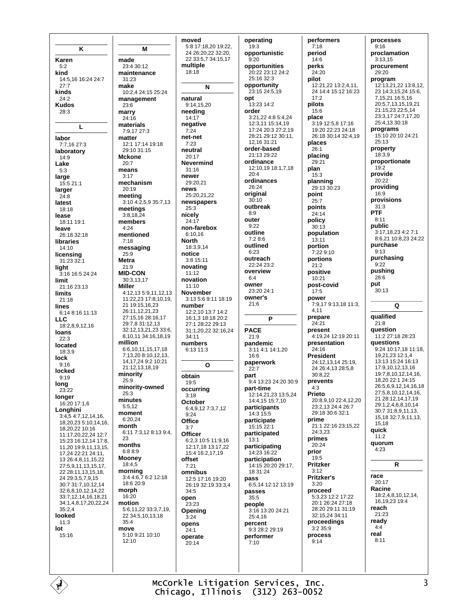K Karen  $5:2$ kind 14:5,16 16:24 24:7  $27:7$ kinds  $24:2$ **Kudos** 28:3  $\mathbf{L}$ labor 7:7,16 27:3 laboratory  $14:9$ Lake large  $15:521:1$ larger  $24:8$ latest  $18.18$ lease 18:11 19:1 leave 26:18 32:18 libraries  $14.10$ licensing 31:23 32:1 light 3:16 16:5 24:24 limit 21:16 23:13 **limits**  $21:18$ **lines** 6:14 8:16 11:13  $11C$ 18:2.8.9.12.16 loans  $22:3$ located  $18:39$ lock  $9:16$ locked  $9:19$ long  $23.22$ longer 16:20 17:1,6 Longhini  $3:4.54:7.12.14.16$ 18,20,23 5:10,14,16, 18.20.22 10:16 11:17.20.22.24 12:7 15:23 16:12.14 17:8. 11,20 19:9,11,13,15, 17.24 22:21 24:11. 13 26:4,8,11,15,22 27:5,9,11,13,15,17, 22 28:11, 13, 15, 18, 24 29:3,5,7,9,15 30:7 31:7,10,12,14 32:6,8,10,12,14,22 33:7,12,14,16,18,21 34:1,4,8,17,20,22,24  $35.24$ looked  $11.3$ lot  $15.16$ 

Ė

M made 23:4 30:12 maintenance  $31.23$ make 10:2,4 24:15 25:24 management  $23:6$ marry  $24.16$ materials 7:9.17 27:3 matter 12:1 17:14 19:18 29:10 31:15 **Mckone**  $20.7$ means  $3:17$ mechanism  $20.19$ meeting 3:10 4:2,5,9 35:7,13 meetings  $3:8,18,24$ members  $4.24$ mentioned  $7:18$ messaging  $25:9$ **Metra**  $21.9$ **MID-CON** 30:3.13.17 Miller 4:12 13 5:9 11 12 13 11:22,23 17:8,10,19, 21 19:15.16.23 26:11 12 21 23 27:15,16 28:16,17 29:7,8 31:12,13 32:12.13.21.23 33:6. 8,10,11 34:16,18,19 million 6:6.10.11.15.17.18 7:13,20 8:10,12,13, 14.17.24 9:2 10:21 21:12 13 18 19 minority  $25.9$ minority-owned  $25:3$ minutes  $5.512$ moment 6:20.24 month 6:11 7:3,12 8:13 9:4,  $23$ months 6:88:9 **Mooney** 18:4.5 morning 3:4 4:6,7 6:2 12:18  $18.620.9$ morph  $16.20$ motion 5:6.11.22 33:3.7.19. 22 34:5.10.13.18  $35.4$ move  $5:109:2110:10$  $12:10$ 

moved 5:8 17:18,20 19:22, 24 26:20.22 32:20. 22 33:5,7 34:15,17 multiple  $18.18$ N natural  $9.141520$ needing  $14:17$ negative net-net neutral  $20:17$ **Nevermind**  $31.16$ newer 29:20.21  $25:20.21.22$ newspapers non-farehox  $6.1016$  $18:3914$ notice  $3.815.11$ novating  $11:12$ novation  $11:10$ **November** 3:13 5:6 9:11 18:19 number 12:2,10 13:7 14:2 16:1,3 18:18 20:2 27:1 28:22 29:13 31:1,20,22 32:16,24  $34.11$ numbers 6:13 11:3  $\Omega$ obtain occurring October 6:49 12 7:37 12 Office **Officer** 6:2.3 10:5 11:9.16 12.17 18 13:17 22  $15.416.21719$ omnibus 12:5 17:16 19:20 26:19 32:19 33:3,4 .<br>23:23 Opening opens operate .<br>20:14

 $7.24$ 

 $7:23$ 

news

 $25:3$ 

nicely

**North** 

 $19.5$ 

 $3.18$ 

 $9.24$ 

 $3:7$ 

offset

 $7:21$ 

 $34:5$ 

 $3:24$ 

 $24.1$ 

open

24:17

operating  $19:3$ opportunistic  $9.20$ opportunities 20:22 23:12 24:2 25:16 32:3 opportunity 23:15 24:5,19 opt  $13.2314.2$ order 3:21,22 4:8 5:4,24 12:3,11 15:14,19 17:24 20:3 27:2,19 28:21 29:12 30:11, 12 16 31:21 order-based  $21.1320.22$ ordinance 12:10.19 18:1.7.18  $20:4$ ordinances  $26:24$ original  $30:10$ outbreak  $8:9$ outer  $9.22$ outline 7:2 8:6 outlined  $6.23$ outreach 22:24 23:2 overview  $6.4$ owner 23:20 24:1 owner's  $21:6$ P **PACE**  $21.9$ pandemic 3:11 4:1 14:1,20  $16.6$ paperwork  $22:7$ part 9:4 13:23 24:20 30:9 part-time 12:14,21,23 13:5,24 14:4,15 15:7,10 participants 14:3 15:5 participate 15:15 22:1 participated  $13:1$ participating 14:23 16:22 participation 14:15 20:20 29:17. 18 31 24 pass 6:5.14 12:12 13:19 passes  $35.5$ people 3:16 13:20 24:21 25:4.16 percent 9:3 28:2 29:19 performer  $7.10$ 

performers  $7:18$ period  $14.6$ nerks 24:20 nilot 12:21,22 13:2,4,11, 24 14:4 15:12 16:23  $17.2$ pilots 15:6 place 3:19 12:5,8 17:16 19:20 22:23 24:18 26:18 30:14 32:4,19 places  $26.1$ placing 29:21 plan  $15:3$ planning 29:13 30:23 point  $25:7$ noints 24:14 policy  $30.13$ population  $13:11$ nortion  $7.22910$ portions  $21:2$ positive  $10.21$ post-covid  $17 - 5$ power 7:9,17 9:13,18 11:3, 4.11 prepare  $24.21$ present 4:19,24 12:19 20:11 presentation  $24.16$ **President** 24:12,13,14 25:19, 24 26:4.13 28:5.8  $30.822$ prevents  $4:3$ Prieto 20:8.9.10 22:4.12.20 23:2.13 24:4 26:7 29:18 30:6 32:1 prime 21:1 22:16 23:15,22 24:3,23 primes  $20.24$ prior 19:5 **Pritzker**  $3:12$ **Pritzker's**  $3:20$ proceed 5:3,23 12:2 17:22 20:1 26:24 27:18 28:20 29:11 31:19 32:15.24 34:11 proceedings  $3.2.35.9$ process  $9:14$ 

processes  $9:16$ proclamation  $3:13.15$ procurement  $29.20$ program 12:13,21,22 13:8,12, 23 14:3,15,24 15:6, 7,15,21 16:5,16 20:57 13 15 19 21 21:15 23 22:5 14 23:3.17 24:7.17.20  $25:4.1330.18$ programs 15:10 20:10 24:21  $25:13$ property  $18:39$ proportionate  $19.2$ provide  $20.22$ providing  $16.9$ provisions  $31:3$ **PTF**  $8.11$ public 3:17.18.23 4:2 7:1 8:6,21 10:8,23 24:22 purchase  $9:13$ purchasing  $9:22$ pushing 28:6 put  $30:13$ Q qualified  $21.8$ question 11:2 27:18 28:23 questions 9:24 10:17,18 11:18, 19,21,23 12:1,4 13:13 15:24 16:13 17:9 10 12 13 16 19:7.8.10.12.14.16. 18 20 22:1 24:15 26:5.6.9.12.14.16.18 27:5.8.10.12.14.16. 21 28:12,14,17,19 29:1,2,4,6,8,10,14 30:7 31:8.9.11.13. 15, 18 32: 7, 9, 11, 13, 15.18 auick  $11:2$ quorum 4:23  $\overline{\mathsf{R}}$ race  $20:17$ Racine 18:2,4,8,10,12,14, 16 19 23 19:4 reach 21:23 ready  $4.4$ real  $8:11$ 

McCorkle Litigation Services, Inc. Chicago, Illinois (312) 263-0052